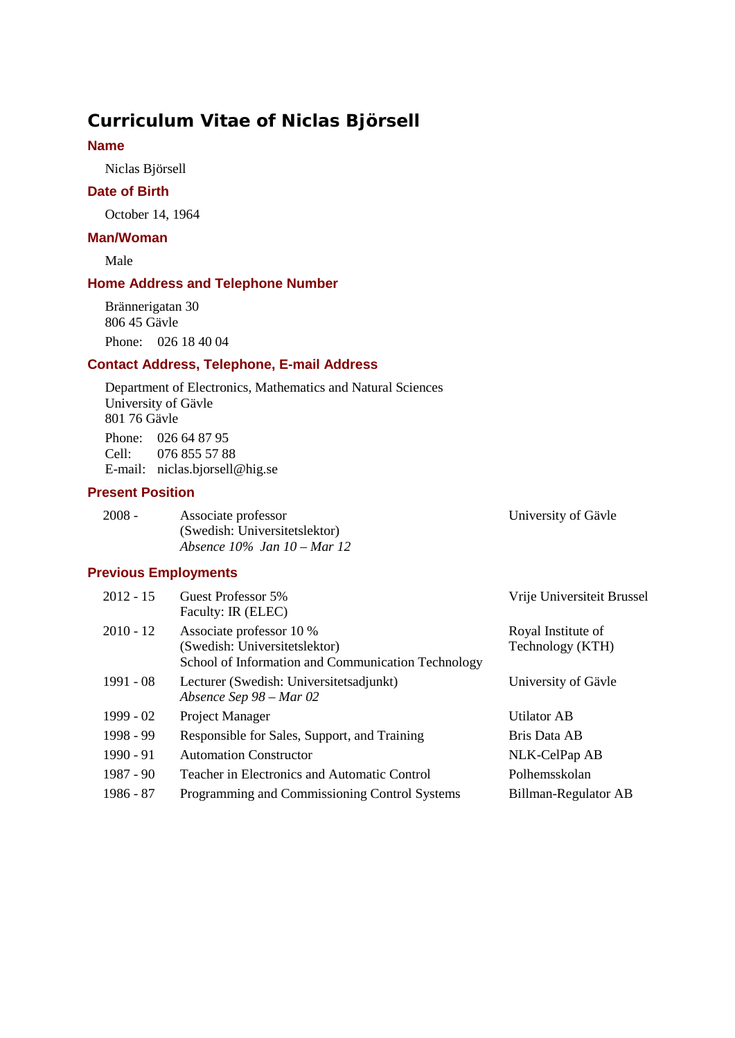# **Curriculum Vitae of Niclas Björsell**

### **Name**

Niclas Björsell

#### **Date of Birth**

October 14, 1964

### **Man/Woman**

Male

#### **Home Address and Telephone Number**

Brännerigatan 30 806 45 Gävle Phone: 026 18 40 04

#### **Contact Address, Telephone, E-mail Address**

Department of Electronics, Mathematics and Natural Sciences University of Gävle 801 76 Gävle Phone: 026 64 87 95 Cell: 076 855 57 88 E-mail: niclas.bjorsell@hig.se

### **Present Position**

| - 2008 - | Associate professor              | University of Gävle |
|----------|----------------------------------|---------------------|
|          | (Swedish: Universitetslektor)    |                     |
|          | Absence $10\%$ Jan $10 -$ Mar 12 |                     |

## **Previous Employments**

| $2012 - 15$ | Guest Professor 5%<br>Faculty: IR (ELEC)                                                                        | Vrije Universiteit Brussel             |
|-------------|-----------------------------------------------------------------------------------------------------------------|----------------------------------------|
| $2010 - 12$ | Associate professor 10 %<br>(Swedish: Universitetslektor)<br>School of Information and Communication Technology | Royal Institute of<br>Technology (KTH) |
| 1991 - 08   | Lecturer (Swedish: Universitetsadjunkt)<br>Absence Sep $98 - Mar$ 02                                            | University of Gävle                    |
| 1999 - 02   | Project Manager                                                                                                 | Utilator AB                            |
| 1998 - 99   | Responsible for Sales, Support, and Training                                                                    | Bris Data AB                           |
| $1990 - 91$ | <b>Automation Constructor</b>                                                                                   | NLK-CelPap AB                          |
| 1987 - 90   | Teacher in Electronics and Automatic Control                                                                    | Polhemsskolan                          |
| 1986 - 87   | Programming and Commissioning Control Systems                                                                   | Billman-Regulator AB                   |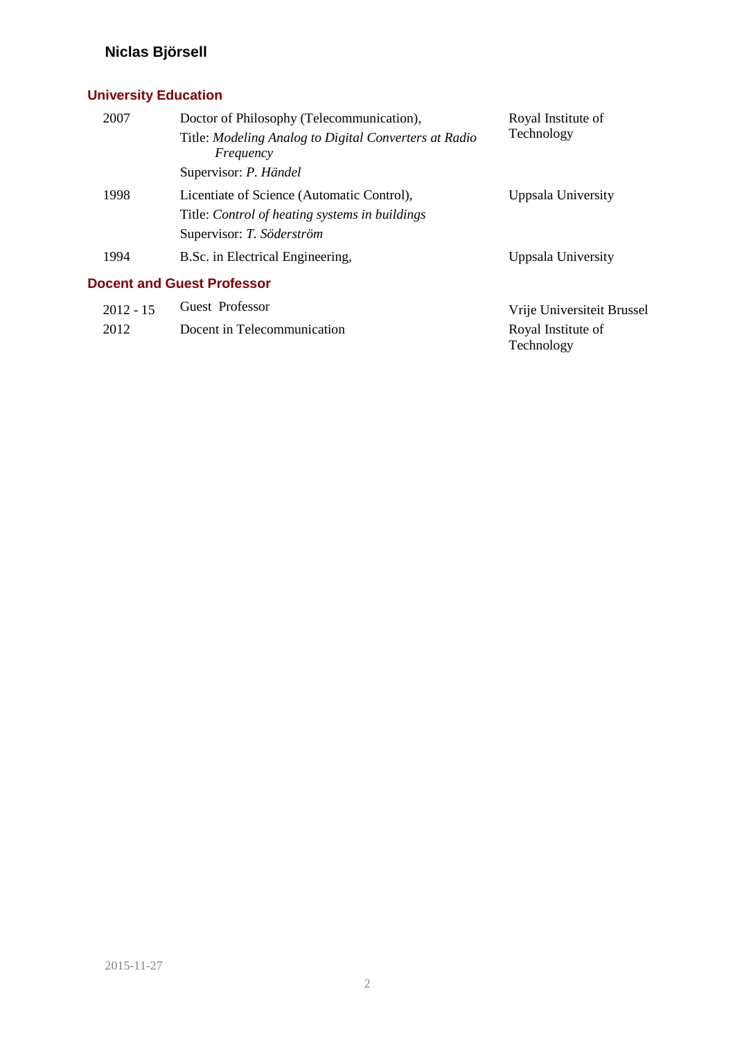# **University Education**

| 2007 | Doctor of Philosophy (Telecommunication),                          | Royal Institute of |
|------|--------------------------------------------------------------------|--------------------|
|      | Title: Modeling Analog to Digital Converters at Radio<br>Frequency | Technology         |
|      | Supervisor: P. Händel                                              |                    |
| 1998 | Licentiate of Science (Automatic Control),                         | Uppsala University |
|      | Title: Control of heating systems in buildings                     |                    |
|      | Supervisor: T. Söderström                                          |                    |
| 1994 | B.Sc. in Electrical Engineering,                                   | Uppsala University |
|      | <b>Docent and Guest Professor</b>                                  |                    |
|      |                                                                    |                    |

| $2012 - 15$ | Guest Professor             | Vrije Universiteit Brussel              |
|-------------|-----------------------------|-----------------------------------------|
| 2012        | Docent in Telecommunication | Royal Institute of<br><b>Technology</b> |
|             |                             |                                         |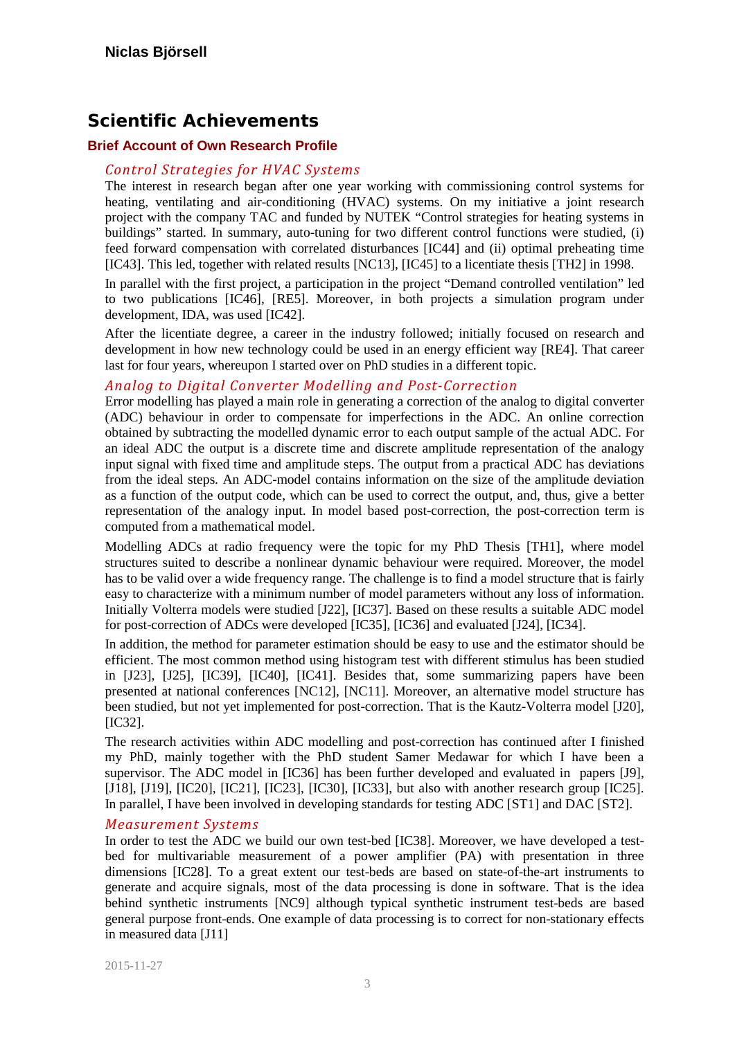# **Scientific Achievements**

### **Brief Account of Own Research Profile**

### *Control Strategies for HVAC Systems*

The interest in research began after one year working with commissioning control systems for heating, ventilating and air-conditioning (HVAC) systems. On my initiative a joint research project with the company TAC and funded by NUTEK "Control strategies for heating systems in buildings" started. In summary, auto-tuning for two different control functions were studied, (i) feed forward compensation with correlated disturbances [\[IC44\]](#page-9-0) and (ii) optimal preheating time [\[IC43\].](#page-9-1) This led, together with related results [\[NC13\],](#page-10-0) [\[IC45\]](#page-9-2) to a licentiate thesis [\[TH2\]](#page-10-1) in 1998.

In parallel with the first project, a participation in the project "Demand controlled ventilation" led to two publications [\[IC46\],](#page-9-3) [\[RE5\].](#page-11-0) Moreover, in both projects a simulation program under development, IDA, was used [\[IC42\].](#page-9-4)

After the licentiate degree, a career in the industry followed; initially focused on research and development in how new technology could be used in an energy efficient way [\[RE4\].](#page-11-1) That career last for four years, whereupon I started over on PhD studies in a different topic.

#### *Analog to Digital Converter Modelling and Post-Correction*

Error modelling has played a main role in generating a correction of the analog to digital converter (ADC) behaviour in order to compensate for imperfections in the ADC. An online correction obtained by subtracting the modelled dynamic error to each output sample of the actual ADC. For an ideal ADC the output is a discrete time and discrete amplitude representation of the analogy input signal with fixed time and amplitude steps. The output from a practical ADC has deviations from the ideal steps. An ADC-model contains information on the size of the amplitude deviation as a function of the output code, which can be used to correct the output, and, thus, give a better representation of the analogy input. In model based post-correction, the post-correction term is computed from a mathematical model.

Modelling ADCs at radio frequency were the topic for my PhD Thesis [\[TH1\],](#page-10-2) where model structures suited to describe a nonlinear dynamic behaviour were required. Moreover, the model has to be valid over a wide frequency range. The challenge is to find a model structure that is fairly easy to characterize with a minimum number of model parameters without any loss of information. Initially Volterra models were studied [\[J22\],](#page-7-0) [\[IC37\].](#page-9-5) Based on these results a suitable ADC model for post-correction of ADCs were developed [\[IC35\],](#page-9-6) [\[IC36\]](#page-9-7) and evaluate[d \[J24\],](#page-7-1) [\[IC34\].](#page-9-8)

In addition, the method for parameter estimation should be easy to use and the estimator should be efficient. The most common method using histogram test with different stimulus has been studied in [\[J23\],](#page-7-2) [\[J25\],](#page-7-3) [\[IC39\],](#page-9-9) [\[IC40\],](#page-9-10) [\[IC41\].](#page-9-11) Besides that, some summarizing papers have been presented at national conferences [\[NC12\],](#page-10-3) [\[NC11\].](#page-10-4) Moreover, an alternative model structure has been studied, but not yet implemented for post-correction. That is the Kautz-Volterra model [\[J20\],](#page-7-4)  $[IC32]$ .

The research activities within ADC modelling and post-correction has continued after I finished my PhD, mainly together with the PhD student Samer Medawar for which I have been a supervisor. The ADC model in [\[IC36\]](#page-9-7) has been further developed and evaluated in papers [\[J9\],](#page-6-0) [\[J18\],](#page-6-1) [\[J19\],](#page-7-5) [\[IC20\],](#page-8-0) [\[IC21\],](#page-8-1) [\[IC23\],](#page-8-2) [\[IC30\],](#page-9-13) [\[IC33\],](#page-9-14) but also with another research group [\[IC25\].](#page-8-3) In parallel, I have been involved in developing standards for testing ADC [\[ST1\]](#page-10-5) and DAC [\[ST2\].](#page-10-6)

#### *Measurement Systems*

In order to test the ADC we build our own test-bed [\[IC38\].](#page-9-15) Moreover, we have developed a testbed for multivariable measurement of a power amplifier (PA) with presentation in three dimensions [\[IC28\].](#page-8-4) To a great extent our test-beds are based on state-of-the-art instruments to generate and acquire signals, most of the data processing is done in software. That is the idea behind synthetic instruments [\[NC9\]](#page-10-7) although typical synthetic instrument test-beds are based general purpose front-ends. One example of data processing is to correct for non-stationary effects in measured data [\[J11\]](#page-6-2)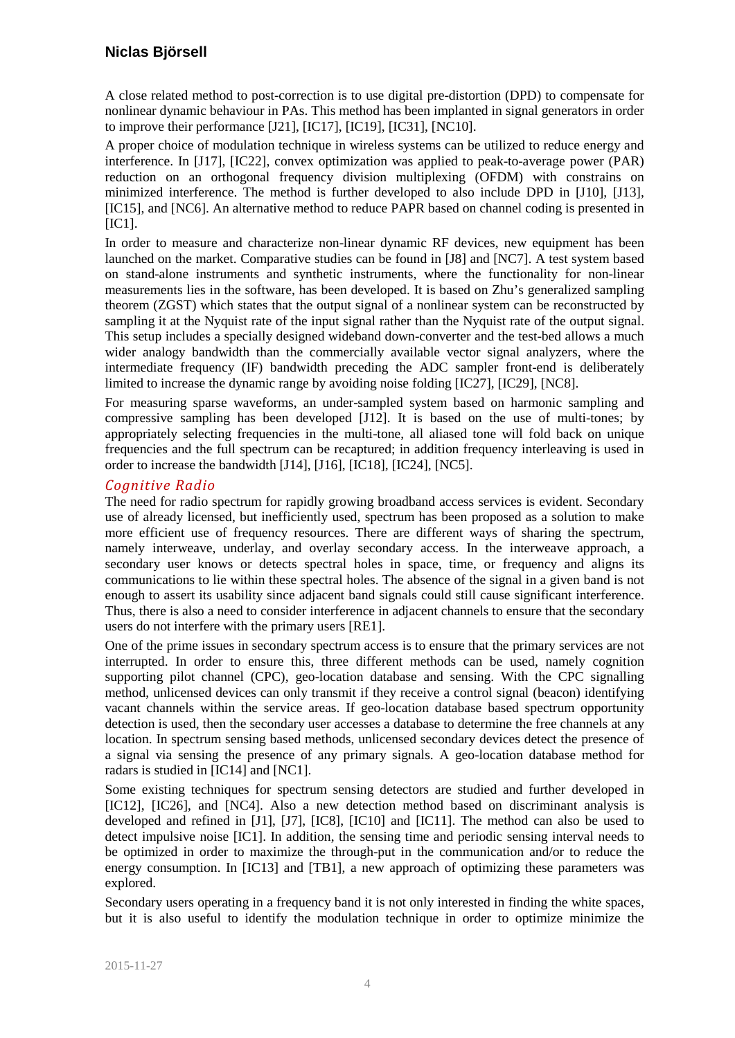A close related method to post-correction is to use digital pre-distortion (DPD) to compensate for nonlinear dynamic behaviour in PAs. This method has been implanted in signal generators in order to improve their performance [\[J21\],](#page-7-6) [\[IC17\],](#page-8-5) [\[IC19\],](#page-8-6) [\[IC31\],](#page-9-16) [\[NC10\].](#page-10-8)

A proper choice of modulation technique in wireless systems can be utilized to reduce energy and interference. In [\[J17\],](#page-6-3) [\[IC22\],](#page-8-7) convex optimization was applied to peak-to-average power (PAR) reduction on an orthogonal frequency division multiplexing (OFDM) with constrains on minimized interference. The method is further developed to also include DPD in [\[J10\],](#page-6-4) [\[J13\],](#page-6-5) [\[IC15\],](#page-8-8) and [\[NC6\].](#page-10-9) An alternative method to reduce PAPR based on channel coding is presented in  $[IC1]$ .

In order to measure and characterize non-linear dynamic RF devices, new equipment has been launched on the market. Comparative studies can be found in [\[J8\]](#page-6-6) and [\[NC7\].](#page-10-10) A test system based on stand-alone instruments and synthetic instruments, where the functionality for non-linear measurements lies in the software, has been developed. It is based on Zhu's generalized sampling theorem (ZGST) which states that the output signal of a nonlinear system can be reconstructed by sampling it at the Nyquist rate of the input signal rather than the Nyquist rate of the output signal. This setup includes a specially designed wideband down-converter and the test-bed allows a much wider analogy bandwidth than the commercially available vector signal analyzers, where the intermediate frequency (IF) bandwidth preceding the ADC sampler front-end is deliberately limited to increase the dynamic range by avoiding noise folding [\[IC27\],](#page-8-9) [\[IC29\],](#page-8-10) [\[NC8\].](#page-10-11)

For measuring sparse waveforms, an under-sampled system based on harmonic sampling and compressive sampling has been developed [\[J12\].](#page-6-7) It is based on the use of multi-tones; by appropriately selecting frequencies in the multi-tone, all aliased tone will fold back on unique frequencies and the full spectrum can be recaptured; in addition frequency interleaving is used in order to increase the bandwidth [\[J14\],](#page-6-8) [\[J16\],](#page-6-9) [\[IC18\],](#page-8-11) [\[IC24\],](#page-8-12) [\[NC5\].](#page-10-12)

### *Cognitive Radio*

The need for radio spectrum for rapidly growing broadband access services is evident. Secondary use of already licensed, but inefficiently used, spectrum has been proposed as a solution to make more efficient use of frequency resources. There are different ways of sharing the spectrum, namely interweave, underlay, and overlay secondary access. In the interweave approach, a secondary user knows or detects spectral holes in space, time, or frequency and aligns its communications to lie within these spectral holes. The absence of the signal in a given band is not enough to assert its usability since adjacent band signals could still cause significant interference. Thus, there is also a need to consider interference in adjacent channels to ensure that the secondary users do not interfere with the primary users [\[RE1\].](#page-10-13)

One of the prime issues in secondary spectrum access is to ensure that the primary services are not interrupted. In order to ensure this, three different methods can be used, namely cognition supporting pilot channel (CPC), geo-location database and sensing. With the CPC signalling method, unlicensed devices can only transmit if they receive a control signal (beacon) identifying vacant channels within the service areas. If geo-location database based spectrum opportunity detection is used, then the secondary user accesses a database to determine the free channels at any location. In spectrum sensing based methods, unlicensed secondary devices detect the presence of a signal via sensing the presence of any primary signals. A geo-location database method for radars is studied i[n \[IC14\]](#page-8-13) and [\[NC1\].](#page-9-17)

Some existing techniques for spectrum sensing detectors are studied and further developed in [\[IC12\],](#page-8-14) [\[IC26\],](#page-8-15) and [\[NC4\].](#page-10-14) Also a new detection method based on discriminant analysis is developed and refined in [\[J1\],](#page-6-10) [\[J7\],](#page-6-11) [\[IC8\],](#page-7-8) [\[IC10\]](#page-7-9) and [\[IC11\].](#page-8-16) The method can also be used to detect impulsive noise [\[IC1\].](#page-7-7) In addition, the sensing time and periodic sensing interval needs to be optimized in order to maximize the through-put in the communication and/or to reduce the energy consumption. In [\[IC13\]](#page-8-17) and [\[TB1\],](#page-10-15) a new approach of optimizing these parameters was explored.

Secondary users operating in a frequency band it is not only interested in finding the white spaces, but it is also useful to identify the modulation technique in order to optimize minimize the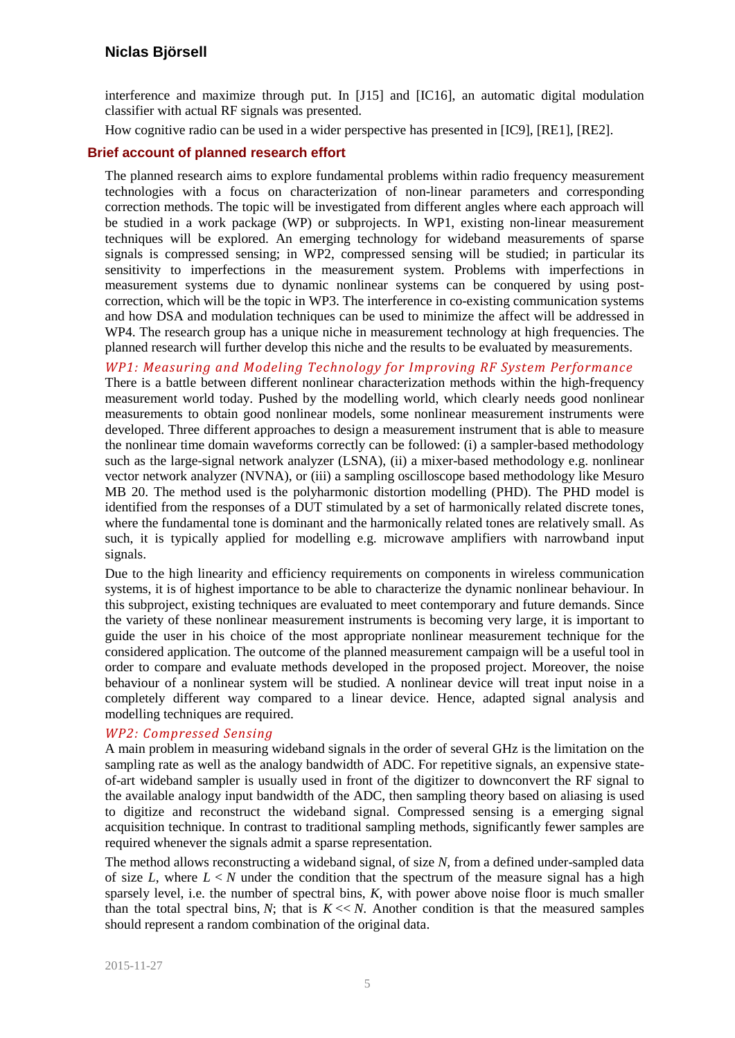interference and maximize through put. In [\[J15\]](#page-6-12) and [\[IC16\],](#page-8-18) an automatic digital modulation classifier with actual RF signals was presented.

How cognitive radio can be used in a wider perspective has presented in [\[IC9\],](#page-7-10) [\[RE1\],](#page-10-13) [\[RE2\].](#page-10-16)

#### **Brief account of planned research effort**

The planned research aims to explore fundamental problems within radio frequency measurement technologies with a focus on characterization of non-linear parameters and corresponding correction methods. The topic will be investigated from different angles where each approach will be studied in a work package (WP) or subprojects. In WP1, existing non-linear measurement techniques will be explored. An emerging technology for wideband measurements of sparse signals is compressed sensing; in WP2, compressed sensing will be studied; in particular its sensitivity to imperfections in the measurement system. Problems with imperfections in measurement systems due to dynamic nonlinear systems can be conquered by using postcorrection, which will be the topic in WP3. The interference in co-existing communication systems and how DSA and modulation techniques can be used to minimize the affect will be addressed in WP4. The research group has a unique niche in measurement technology at high frequencies. The planned research will further develop this niche and the results to be evaluated by measurements.

*WP1: Measuring and Modeling Technology for Improving RF System Performance* 

There is a battle between different nonlinear characterization methods within the high-frequency measurement world today. Pushed by the modelling world, which clearly needs good nonlinear measurements to obtain good nonlinear models, some nonlinear measurement instruments were developed. Three different approaches to design a measurement instrument that is able to measure the nonlinear time domain waveforms correctly can be followed: (i) a sampler-based methodology such as the large-signal network analyzer (LSNA), (ii) a mixer-based methodology e.g. nonlinear vector network analyzer (NVNA), or (iii) a sampling oscilloscope based methodology like Mesuro MB 20. The method used is the polyharmonic distortion modelling (PHD). The PHD model is identified from the responses of a DUT stimulated by a set of harmonically related discrete tones, where the fundamental tone is dominant and the harmonically related tones are relatively small. As such, it is typically applied for modelling e.g. microwave amplifiers with narrowband input signals.

Due to the high linearity and efficiency requirements on components in wireless communication systems, it is of highest importance to be able to characterize the dynamic nonlinear behaviour. In this subproject, existing techniques are evaluated to meet contemporary and future demands. Since the variety of these nonlinear measurement instruments is becoming very large, it is important to guide the user in his choice of the most appropriate nonlinear measurement technique for the considered application. The outcome of the planned measurement campaign will be a useful tool in order to compare and evaluate methods developed in the proposed project. Moreover, the noise behaviour of a nonlinear system will be studied. A nonlinear device will treat input noise in a completely different way compared to a linear device. Hence, adapted signal analysis and modelling techniques are required.

#### *WP2: Compressed Sensing*

A main problem in measuring wideband signals in the order of several GHz is the limitation on the sampling rate as well as the analogy bandwidth of ADC. For repetitive signals, an expensive stateof-art wideband sampler is usually used in front of the digitizer to downconvert the RF signal to the available analogy input bandwidth of the ADC, then sampling theory based on aliasing is used to digitize and reconstruct the wideband signal. Compressed sensing is a emerging signal acquisition technique. In contrast to traditional sampling methods, significantly fewer samples are required whenever the signals admit a sparse representation.

The method allows reconstructing a wideband signal, of size *N*, from a defined under-sampled data of size *L*, where  $L < N$  under the condition that the spectrum of the measure signal has a high sparsely level, i.e. the number of spectral bins, *K,* with power above noise floor is much smaller than the total spectral bins,  $N$ ; that is  $K \ll N$ . Another condition is that the measured samples should represent a random combination of the original data.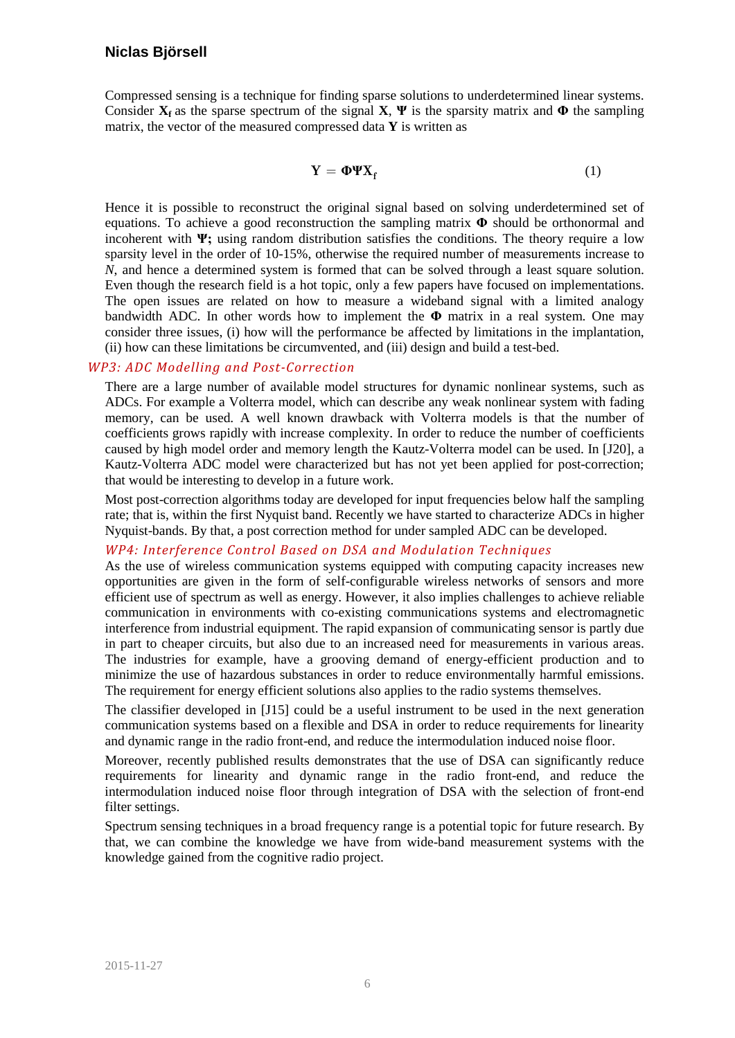Compressed sensing is a technique for finding sparse solutions to [underdetermined linear systems.](http://en.wikipedia.org/wiki/Underdetermined_system) Consider  $X_f$  as the sparse spectrum of the signal  $X$ ,  $\Psi$  is the sparsity matrix and  $\Phi$  the sampling matrix, the vector of the measured compressed data **Y** is written as

$$
Y = \Phi \Psi X_f \tag{1}
$$

Hence it is possible to reconstruct the original signal based on solving underdetermined set of equations. To achieve a good reconstruction the sampling matrix **Φ** should be orthonormal and incoherent with **Ψ;** using random distribution satisfies the conditions. The theory require a low sparsity level in the order of 10-15%, otherwise the required number of measurements increase to *N*, and hence a determined system is formed that can be solved through a least square solution. Even though the research field is a hot topic, only a few papers have focused on implementations. The open issues are related on how to measure a wideband signal with a limited analogy bandwidth ADC. In other words how to implement the **Φ** matrix in a real system. One may consider three issues, (i) how will the performance be affected by limitations in the implantation, (ii) how can these limitations be circumvented, and (iii) design and build a test-bed.

#### *WP3: ADC Modelling and Post-Correction*

There are a large number of available model structures for dynamic nonlinear systems, such as ADCs. For example a Volterra model, which can describe any weak nonlinear system with fading memory, can be used. A well known drawback with Volterra models is that the number of coefficients grows rapidly with increase complexity. In order to reduce the number of coefficients caused by high model order and memory length the Kautz-Volterra model can be used. In [\[J20\],](#page-7-4) a Kautz-Volterra ADC model were characterized but has not yet been applied for post-correction; that would be interesting to develop in a future work.

Most post-correction algorithms today are developed for input frequencies below half the sampling rate; that is, within the first Nyquist band. Recently we have started to characterize ADCs in higher Nyquist-bands. By that, a post correction method for under sampled ADC can be developed.

#### *WP4: Interference Control Based on DSA and Modulation Techniques*

As the use of wireless communication systems equipped with computing capacity increases new opportunities are given in the form of self-configurable wireless networks of sensors and more efficient use of spectrum as well as energy. However, it also implies challenges to achieve reliable communication in environments with co-existing communications systems and electromagnetic interference from industrial equipment. The rapid expansion of communicating sensor is partly due in part to cheaper circuits, but also due to an increased need for measurements in various areas. The industries for example, have a grooving demand of energy-efficient production and to minimize the use of hazardous substances in order to reduce environmentally harmful emissions. The requirement for energy efficient solutions also applies to the radio systems themselves.

The classifier developed in [\[J15\]](#page-6-12) could be a useful instrument to be used in the next generation communication systems based on a flexible and DSA in order to reduce requirements for linearity and dynamic range in the radio front-end, and reduce the intermodulation induced noise floor.

Moreover, recently published results demonstrates that the use of DSA can significantly reduce requirements for linearity and dynamic range in the radio front-end, and reduce the intermodulation induced noise floor through integration of DSA with the selection of front-end filter settings.

Spectrum sensing techniques in a broad frequency range is a potential topic for future research. By that, we can combine the knowledge we have from wide-band measurement systems with the knowledge gained from the cognitive radio project.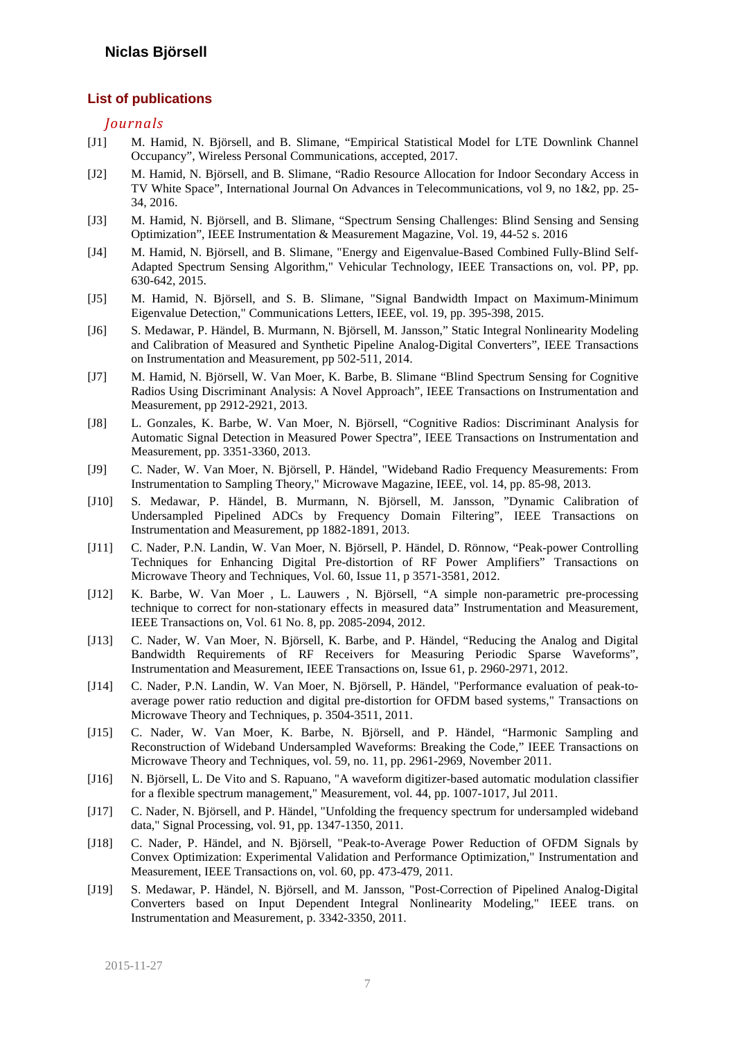#### **List of publications**

#### *Journals*

- <span id="page-6-10"></span>[J1] M. Hamid, N. Björsell, and B. Slimane, "Empirical Statistical Model for LTE Downlink Channel Occupancy", Wireless Personal Communications, accepted, 2017.
- [J2] M. Hamid, N. Björsell, and B. Slimane, "Radio Resource Allocation for Indoor Secondary Access in TV White Space", International Journal On Advances in Telecommunications, vol 9, no 1&2, pp. 25- 34, 2016.
- [J3] M. Hamid, N. Björsell, and B. Slimane, "Spectrum Sensing Challenges: Blind Sensing and Sensing Optimization", IEEE Instrumentation & Measurement Magazine, Vol. 19, 44-52 s. 2016
- [J4] M. Hamid, N. Björsell, and B. Slimane, "Energy and Eigenvalue-Based Combined Fully-Blind Self-Adapted Spectrum Sensing Algorithm," Vehicular Technology, IEEE Transactions on, vol. PP, pp. 630-642, 2015.
- [J5] M. Hamid, N. Björsell, and S. B. Slimane, "Signal Bandwidth Impact on Maximum-Minimum Eigenvalue Detection," Communications Letters, IEEE, vol. 19, pp. 395-398, 2015.
- [J6] S. Medawar, P. Händel, B. Murmann, N. Björsell, M. Jansson," Static Integral Nonlinearity Modeling and Calibration of Measured and Synthetic Pipeline Analog-Digital Converters", IEEE Transactions on Instrumentation and Measurement, pp 502-511, 2014.
- [J7] M. Hamid, N. Björsell, W. Van Moer, K. Barbe, B. Slimane "Blind Spectrum Sensing for Cognitive Radios Using Discriminant Analysis: A Novel Approach", IEEE Transactions on Instrumentation and Measurement, pp 2912-2921, 2013.
- <span id="page-6-11"></span>[J8] L. Gonzales, K. Barbe, W. Van Moer, N. Björsell, "Cognitive Radios: Discriminant Analysis for Automatic Signal Detection in Measured Power Spectra", IEEE Transactions on Instrumentation and Measurement, pp. 3351-3360, 2013.
- <span id="page-6-6"></span>[J9] C. Nader, W. Van Moer, N. Björsell, P. Händel, "Wideband Radio Frequency Measurements: From Instrumentation to Sampling Theory," Microwave Magazine, IEEE, vol. 14, pp. 85-98, 2013.
- <span id="page-6-0"></span>[J10] S. Medawar, P. Händel, B. Murmann, N. Björsell, M. Jansson, "Dynamic Calibration of Undersampled Pipelined ADCs by Frequency Domain Filtering", IEEE Transactions on Instrumentation and Measurement, pp 1882-1891, 2013.
- <span id="page-6-4"></span>[J11] C. Nader, P.N. Landin, W. Van Moer, N. Björsell, P. Händel, D. Rönnow, "Peak-power Controlling Techniques for Enhancing Digital Pre-distortion of RF Power Amplifiers" Transactions on Microwave Theory and Techniques, Vol. 60, Issue 11, p 3571-3581, 2012.
- <span id="page-6-2"></span>[J12] K. Barbe, W. Van Moer , L. Lauwers , N. Björsell, "A simple non-parametric pre-processing technique to correct for non-stationary effects in measured data" Instrumentation and Measurement, IEEE Transactions on, Vol. 61 No. 8, pp. 2085-2094, 2012.
- <span id="page-6-7"></span>[J13] C. Nader, W. Van Moer, N. Björsell, K. Barbe, and P. Händel, "Reducing the Analog and Digital Bandwidth Requirements of RF Receivers for Measuring Periodic Sparse Waveforms", Instrumentation and Measurement, IEEE Transactions on, Issue 61, p. 2960-2971, 2012.
- <span id="page-6-5"></span>[J14] C. Nader, P.N. Landin, W. Van Moer, N. Björsell, P. Händel, "Performance evaluation of peak-toaverage power ratio reduction and digital pre-distortion for OFDM based systems," Transactions on Microwave Theory and Techniques, p. 3504-3511, 2011.
- <span id="page-6-8"></span>[J15] C. Nader, W. Van Moer, K. Barbe, N. Björsell, and P. Händel, "Harmonic Sampling and Reconstruction of Wideband Undersampled Waveforms: Breaking the Code," IEEE Transactions on Microwave Theory and Techniques, vol. 59, no. 11, pp. 2961-2969, November 2011.
- <span id="page-6-12"></span>[J16] N. Björsell, L. De Vito and S. Rapuano, "A waveform digitizer-based automatic modulation classifier for a flexible spectrum management," Measurement, vol. 44, pp. 1007-1017, Jul 2011.
- <span id="page-6-9"></span>[J17] C. Nader, N. Björsell, and P. Händel, "Unfolding the frequency spectrum for undersampled wideband data," Signal Processing, vol. 91, pp. 1347-1350, 2011.
- <span id="page-6-3"></span>[J18] C. Nader, P. Händel, and N. Björsell, "Peak-to-Average Power Reduction of OFDM Signals by Convex Optimization: Experimental Validation and Performance Optimization," Instrumentation and Measurement, IEEE Transactions on, vol. 60, pp. 473-479, 2011.
- <span id="page-6-1"></span>[J19] S. Medawar, P. Händel, N. Björsell, and M. Jansson, "Post-Correction of Pipelined Analog-Digital Converters based on Input Dependent Integral Nonlinearity Modeling," IEEE trans. on Instrumentation and Measurement, p. 3342-3350, 2011.

2015-11-27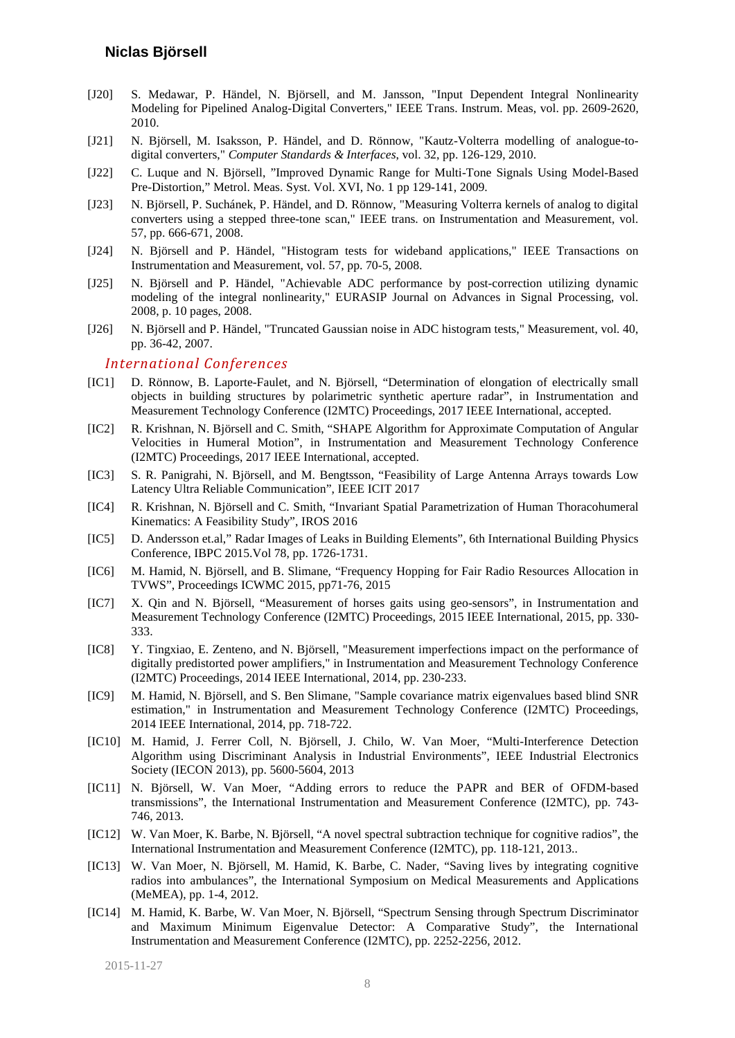- <span id="page-7-5"></span>[J20] S. Medawar, P. Händel, N. Björsell, and M. Jansson, "Input Dependent Integral Nonlinearity Modeling for Pipelined Analog-Digital Converters," IEEE Trans. Instrum. Meas, vol. pp. 2609-2620, 2010.
- <span id="page-7-4"></span>[J21] N. Björsell, M. Isaksson, P. Händel, and D. Rönnow, "Kautz-Volterra modelling of analogue-todigital converters," *Computer Standards & Interfaces*, vol. 32, pp. 126-129, 2010.
- <span id="page-7-6"></span>[J22] C. Luque and N. Björsell, "Improved Dynamic Range for Multi-Tone Signals Using Model-Based Pre-Distortion," Metrol. Meas. Syst. Vol. XVI, No. 1 pp 129-141, 2009.
- <span id="page-7-0"></span>[J23] N. Björsell, P. Suchánek, P. Händel, and D. Rönnow, "Measuring Volterra kernels of analog to digital converters using a stepped three-tone scan," IEEE trans. on Instrumentation and Measurement, vol. 57, pp. 666-671, 2008.
- <span id="page-7-2"></span>[J24] N. Björsell and P. Händel, "Histogram tests for wideband applications," IEEE Transactions on Instrumentation and Measurement, vol. 57, pp. 70-5, 2008.
- <span id="page-7-1"></span>[J25] N. Björsell and P. Händel, "Achievable ADC performance by post-correction utilizing dynamic modeling of the integral nonlinearity," EURASIP Journal on Advances in Signal Processing, vol. 2008, p. 10 pages, 2008.
- <span id="page-7-3"></span>[J26] N. Björsell and P. Händel, "Truncated Gaussian noise in ADC histogram tests," Measurement, vol. 40, pp. 36-42, 2007.

#### *International Conferences*

- <span id="page-7-7"></span>[IC1] D. Rönnow, B. Laporte-Faulet, and N. Björsell, "Determination of elongation of electrically small objects in building structures by polarimetric synthetic aperture radar", in Instrumentation and Measurement Technology Conference (I2MTC) Proceedings, 2017 IEEE International, accepted.
- [IC2] R. Krishnan, N. Björsell and C. Smith, "SHAPE Algorithm for Approximate Computation of Angular Velocities in Humeral Motion", in Instrumentation and Measurement Technology Conference (I2MTC) Proceedings, 2017 IEEE International, accepted.
- [IC3] S. R. Panigrahi, N. Björsell, and M. Bengtsson, "Feasibility of Large Antenna Arrays towards Low Latency Ultra Reliable Communication", IEEE ICIT 2017
- [IC4] R. Krishnan, N. Björsell and C. Smith, "Invariant Spatial Parametrization of Human Thoracohumeral Kinematics: A Feasibility Study", IROS 2016
- [IC5] D. Andersson et.al," Radar Images of Leaks in Building Elements", 6th International Building Physics Conference, IBPC 2015.Vol 78, pp. 1726-1731.
- [IC6] M. Hamid, N. Björsell, and B. Slimane, "Frequency Hopping for Fair Radio Resources Allocation in TVWS", Proceedings ICWMC 2015, pp71-76, 2015
- [IC7] X. Qin and N. Björsell, "Measurement of horses gaits using geo-sensors", in Instrumentation and Measurement Technology Conference (I2MTC) Proceedings, 2015 IEEE International, 2015, pp. 330- 333.
- [IC8] Y. Tingxiao, E. Zenteno, and N. Björsell, "Measurement imperfections impact on the performance of digitally predistorted power amplifiers," in Instrumentation and Measurement Technology Conference (I2MTC) Proceedings, 2014 IEEE International, 2014, pp. 230-233.
- [IC9] M. Hamid, N. Björsell, and S. Ben Slimane, "Sample covariance matrix eigenvalues based blind SNR estimation," in Instrumentation and Measurement Technology Conference (I2MTC) Proceedings, 2014 IEEE International, 2014, pp. 718-722.
- [IC10] M. Hamid, J. Ferrer Coll, N. Björsell, J. Chilo, W. Van Moer, "Multi-Interference Detection Algorithm using Discriminant Analysis in Industrial Environments", IEEE Industrial Electronics Society (IECON 2013), pp. 5600-5604, 2013
- [IC11] N. Björsell, W. Van Moer, "Adding errors to reduce the PAPR and BER of OFDM-based transmissions", the International Instrumentation and Measurement Conference (I2MTC), pp. 743- 746, 2013.
- <span id="page-7-8"></span>[IC12] W. Van Moer, K. Barbe, N. Björsell, "A novel spectral subtraction technique for cognitive radios", the International Instrumentation and Measurement Conference (I2MTC), pp. 118-121, 2013..
- <span id="page-7-10"></span>[IC13] W. Van Moer, N. Björsell, M. Hamid, K. Barbe, C. Nader, "Saving lives by integrating cognitive radios into ambulances", the International Symposium on Medical Measurements and Applications (MeMEA), pp. 1-4, 2012.
- <span id="page-7-9"></span>[IC14] M. Hamid, K. Barbe, W. Van Moer, N. Björsell, "Spectrum Sensing through Spectrum Discriminator and Maximum Minimum Eigenvalue Detector: A Comparative Study", the International Instrumentation and Measurement Conference (I2MTC), pp. 2252-2256, 2012.

2015-11-27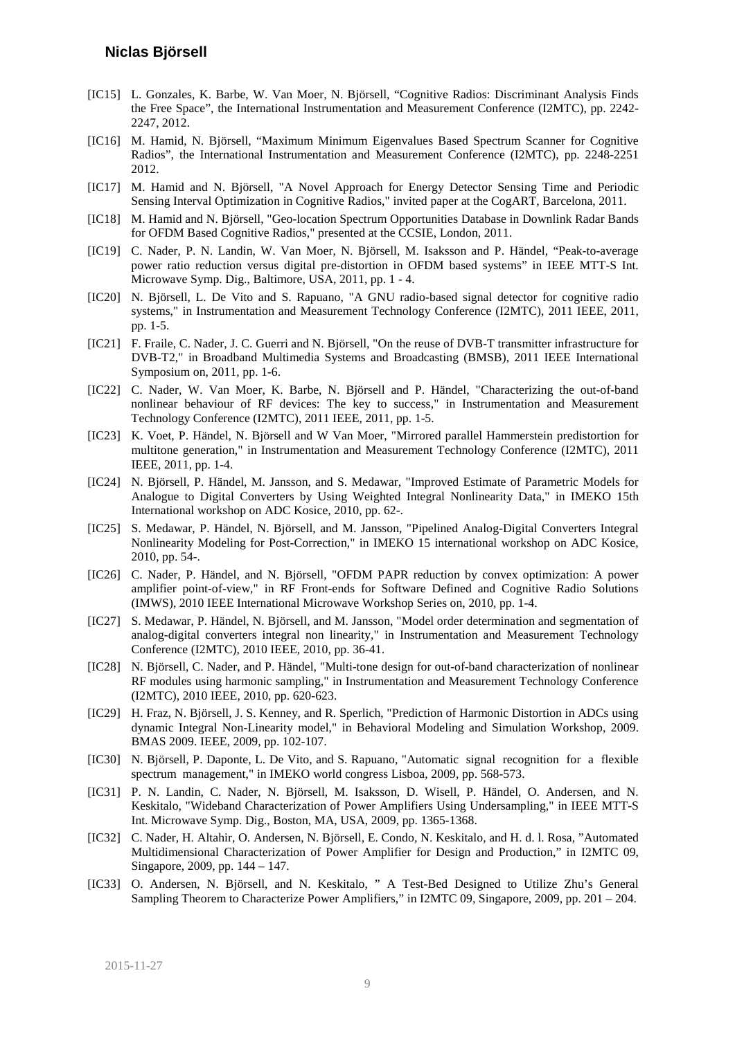- <span id="page-8-16"></span>[IC15] L. Gonzales, K. Barbe, W. Van Moer, N. Björsell, "Cognitive Radios: Discriminant Analysis Finds the Free Space", the International Instrumentation and Measurement Conference (I2MTC), pp. 2242- 2247, 2012.
- <span id="page-8-14"></span>[IC16] M. Hamid, N. Björsell, "Maximum Minimum Eigenvalues Based Spectrum Scanner for Cognitive Radios", the International Instrumentation and Measurement Conference (I2MTC), pp. 2248-2251 2012.
- <span id="page-8-17"></span>[IC17] M. Hamid and N. Björsell, "A Novel Approach for Energy Detector Sensing Time and Periodic Sensing Interval Optimization in Cognitive Radios," invited paper at the CogART, Barcelona, 2011.
- <span id="page-8-13"></span>[IC18] M. Hamid and N. Björsell, "Geo-location Spectrum Opportunities Database in Downlink Radar Bands for OFDM Based Cognitive Radios," presented at the CCSIE, London, 2011.
- <span id="page-8-8"></span>[IC19] C. Nader, P. N. Landin, W. Van Moer, N. Björsell, M. Isaksson and P. Händel, "Peak-to-average power ratio reduction versus digital pre-distortion in OFDM based systems" in IEEE MTT-S Int. Microwave Symp. Dig., Baltimore, USA, 2011, pp. 1 - 4.
- <span id="page-8-18"></span>[IC20] N. Björsell, L. De Vito and S. Rapuano, "A GNU radio-based signal detector for cognitive radio systems," in Instrumentation and Measurement Technology Conference (I2MTC), 2011 IEEE, 2011, pp. 1-5.
- <span id="page-8-5"></span>[IC21] F. Fraile, C. Nader, J. C. Guerri and N. Björsell, "On the reuse of DVB-T transmitter infrastructure for DVB-T2," in Broadband Multimedia Systems and Broadcasting (BMSB), 2011 IEEE International Symposium on, 2011, pp. 1-6.
- <span id="page-8-11"></span>[IC22] C. Nader, W. Van Moer, K. Barbe, N. Björsell and P. Händel, "Characterizing the out-of-band nonlinear behaviour of RF devices: The key to success," in Instrumentation and Measurement Technology Conference (I2MTC), 2011 IEEE, 2011, pp. 1-5.
- <span id="page-8-6"></span>[IC23] K. Voet, P. Händel, N. Björsell and W Van Moer, "Mirrored parallel Hammerstein predistortion for multitone generation," in Instrumentation and Measurement Technology Conference (I2MTC), 2011 IEEE, 2011, pp. 1-4.
- <span id="page-8-0"></span>[IC24] N. Björsell, P. Händel, M. Jansson, and S. Medawar, "Improved Estimate of Parametric Models for Analogue to Digital Converters by Using Weighted Integral Nonlinearity Data," in IMEKO 15th International workshop on ADC Kosice, 2010, pp. 62-.
- <span id="page-8-1"></span>[IC25] S. Medawar, P. Händel, N. Björsell, and M. Jansson, "Pipelined Analog-Digital Converters Integral Nonlinearity Modeling for Post-Correction," in IMEKO 15 international workshop on ADC Kosice, 2010, pp. 54-.
- <span id="page-8-7"></span>[IC26] C. Nader, P. Händel, and N. Björsell, "OFDM PAPR reduction by convex optimization: A power amplifier point-of-view," in RF Front-ends for Software Defined and Cognitive Radio Solutions (IMWS), 2010 IEEE International Microwave Workshop Series on, 2010, pp. 1-4.
- <span id="page-8-2"></span>[IC27] S. Medawar, P. Händel, N. Björsell, and M. Jansson, "Model order determination and segmentation of analog-digital converters integral non linearity," in Instrumentation and Measurement Technology Conference (I2MTC), 2010 IEEE, 2010, pp. 36-41.
- <span id="page-8-12"></span>[IC28] N. Björsell, C. Nader, and P. Händel, "Multi-tone design for out-of-band characterization of nonlinear RF modules using harmonic sampling," in Instrumentation and Measurement Technology Conference (I2MTC), 2010 IEEE, 2010, pp. 620-623.
- <span id="page-8-3"></span>[IC29] H. Fraz, N. Björsell, J. S. Kenney, and R. Sperlich, "Prediction of Harmonic Distortion in ADCs using dynamic Integral Non-Linearity model," in Behavioral Modeling and Simulation Workshop, 2009. BMAS 2009. IEEE, 2009, pp. 102-107.
- <span id="page-8-15"></span>[IC30] N. Björsell, P. Daponte, L. De Vito, and S. Rapuano, "Automatic signal recognition for a flexible spectrum management," in IMEKO world congress Lisboa, 2009, pp. 568-573.
- <span id="page-8-9"></span>[IC31] P. N. Landin, C. Nader, N. Björsell, M. Isaksson, D. Wisell, P. Händel, O. Andersen, and N. Keskitalo, "Wideband Characterization of Power Amplifiers Using Undersampling," in IEEE MTT-S Int. Microwave Symp. Dig., Boston, MA, USA, 2009, pp. 1365-1368.
- <span id="page-8-4"></span>[IC32] C. Nader, H. Altahir, O. Andersen, N. Björsell, E. Condo, N. Keskitalo, and H. d. l. Rosa, "Automated Multidimensional Characterization of Power Amplifier for Design and Production," in I2MTC 09, Singapore, 2009, pp. 144 – 147.
- <span id="page-8-10"></span>[IC33] O. Andersen, N. Björsell, and N. Keskitalo, " A Test-Bed Designed to Utilize Zhu's General Sampling Theorem to Characterize Power Amplifiers," in I2MTC 09, Singapore, 2009, pp. 201 – 204.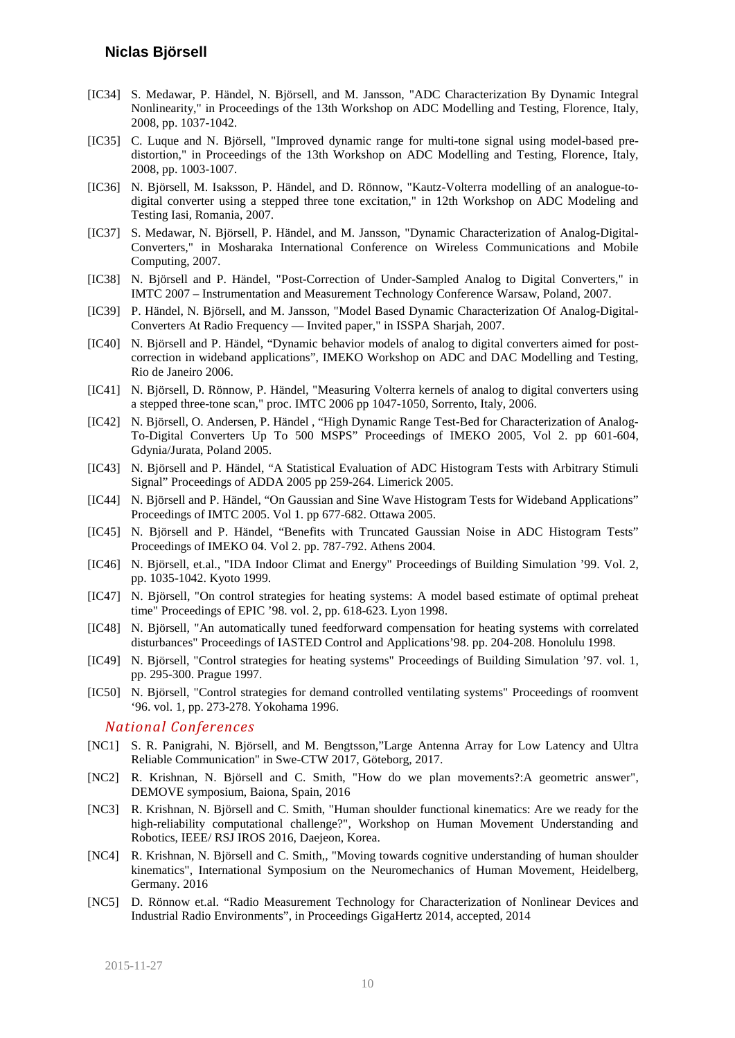- <span id="page-9-13"></span>[IC34] S. Medawar, P. Händel, N. Björsell, and M. Jansson, "ADC Characterization By Dynamic Integral Nonlinearity," in Proceedings of the 13th Workshop on ADC Modelling and Testing, Florence, Italy, 2008, pp. 1037-1042.
- <span id="page-9-16"></span>[IC35] C. Luque and N. Björsell, "Improved dynamic range for multi-tone signal using model-based predistortion," in Proceedings of the 13th Workshop on ADC Modelling and Testing, Florence, Italy, 2008, pp. 1003-1007.
- <span id="page-9-12"></span>[IC36] N. Björsell, M. Isaksson, P. Händel, and D. Rönnow, "Kautz-Volterra modelling of an analogue-todigital converter using a stepped three tone excitation," in 12th Workshop on ADC Modeling and Testing Iasi, Romania, 2007.
- <span id="page-9-14"></span>[IC37] S. Medawar, N. Björsell, P. Händel, and M. Jansson, "Dynamic Characterization of Analog-Digital-Converters," in Mosharaka International Conference on Wireless Communications and Mobile Computing, 2007.
- <span id="page-9-8"></span>[IC38] N. Björsell and P. Händel, "Post-Correction of Under-Sampled Analog to Digital Converters," in IMTC 2007 – Instrumentation and Measurement Technology Conference Warsaw, Poland, 2007.
- <span id="page-9-6"></span>[IC39] P. Händel, N. Björsell, and M. Jansson, "Model Based Dynamic Characterization Of Analog-Digital-Converters At Radio Frequency — Invited paper," in ISSPA Sharjah, 2007.
- <span id="page-9-7"></span>[IC40] N. Björsell and P. Händel, "Dynamic behavior models of analog to digital converters aimed for postcorrection in wideband applications", IMEKO Workshop on ADC and DAC Modelling and Testing, Rio de Janeiro 2006.
- <span id="page-9-5"></span>[IC41] N. Björsell, D. Rönnow, P. Händel, "Measuring Volterra kernels of analog to digital converters using a stepped three-tone scan," proc. IMTC 2006 pp 1047-1050, Sorrento, Italy, 2006.
- <span id="page-9-15"></span>[IC42] N. Björsell, O. Andersen, P. Händel , "High Dynamic Range Test-Bed for Characterization of Analog-To-Digital Converters Up To 500 MSPS" Proceedings of IMEKO 2005, Vol 2. pp 601-604, Gdynia/Jurata, Poland 2005.
- <span id="page-9-9"></span>[IC43] N. Björsell and P. Händel, "A Statistical Evaluation of ADC Histogram Tests with Arbitrary Stimuli Signal" Proceedings of ADDA 2005 pp 259-264. Limerick 2005.
- <span id="page-9-10"></span>[IC44] N. Björsell and P. Händel, "On Gaussian and Sine Wave Histogram Tests for Wideband Applications" Proceedings of IMTC 2005. Vol 1. pp 677-682. Ottawa 2005.
- <span id="page-9-11"></span>[IC45] N. Björsell and P. Händel, "Benefits with Truncated Gaussian Noise in ADC Histogram Tests" Proceedings of IMEKO 04. Vol 2. pp. 787-792. Athens 2004.
- <span id="page-9-4"></span>[IC46] N. Björsell, et.al., "IDA Indoor Climat and Energy" Proceedings of Building Simulation '99. Vol. 2, pp. 1035-1042. Kyoto 1999.
- <span id="page-9-1"></span>[IC47] N. Björsell, "On control strategies for heating systems: A model based estimate of optimal preheat time" Proceedings of EPIC '98. vol. 2, pp. 618-623. Lyon 1998.
- <span id="page-9-0"></span>[IC48] N. Björsell, "An automatically tuned feedforward compensation for heating systems with correlated disturbances" Proceedings of IASTED Control and Applications'98. pp. 204-208. Honolulu 1998.
- <span id="page-9-2"></span>[IC49] N. Björsell, "Control strategies for heating systems" Proceedings of Building Simulation '97. vol. 1, pp. 295-300. Prague 1997.
- <span id="page-9-3"></span>[IC50] N. Björsell, "Control strategies for demand controlled ventilating systems" Proceedings of roomvent '96. vol. 1, pp. 273-278. Yokohama 1996.

#### *National Conferences*

- <span id="page-9-17"></span>[NC1] S. R. Panigrahi, N. Björsell, and M. Bengtsson,"Large Antenna Array for Low Latency and Ultra Reliable Communication" in Swe-CTW 2017, Göteborg, 2017.
- [NC2] R. Krishnan, N. Björsell and C. Smith, "How do we plan movements?:A geometric answer", DEMOVE symposium, Baiona, Spain, 2016
- [NC3] R. Krishnan, N. Björsell and C. Smith, "Human shoulder functional kinematics: Are we ready for the high-reliability computational challenge?", Workshop on Human Movement Understanding and Robotics, IEEE/ RSJ IROS 2016, Daejeon, Korea.
- [NC4] R. Krishnan, N. Björsell and C. Smith,, "Moving towards cognitive understanding of human shoulder kinematics", International Symposium on the Neuromechanics of Human Movement, Heidelberg, Germany. 2016
- [NC5] D. Rönnow et.al. "Radio Measurement Technology for Characterization of Nonlinear Devices and Industrial Radio Environments", in Proceedings GigaHertz 2014, accepted, 2014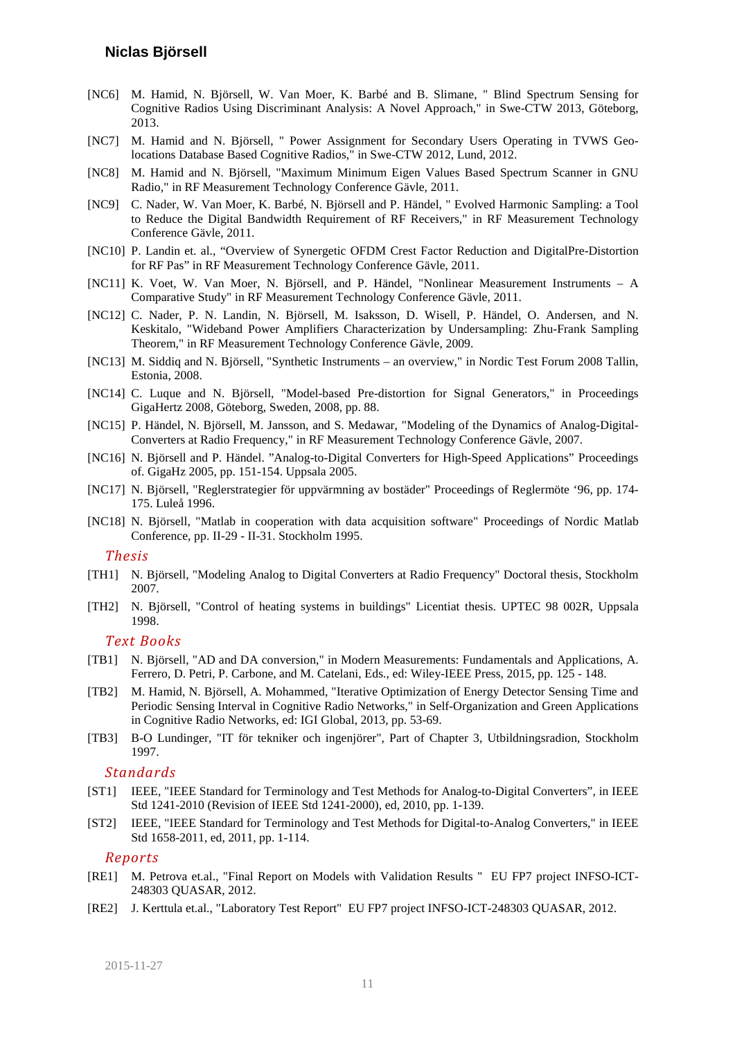- [NC6] M. Hamid, N. Björsell, W. Van Moer, K. Barbé and B. Slimane, " Blind Spectrum Sensing for Cognitive Radios Using Discriminant Analysis: A Novel Approach," in Swe-CTW 2013, Göteborg, 2013.
- [NC7] M. Hamid and N. Björsell, " Power Assignment for Secondary Users Operating in TVWS Geolocations Database Based Cognitive Radios," in Swe-CTW 2012, Lund, 2012.
- <span id="page-10-14"></span>[NC8] M. Hamid and N. Björsell, "Maximum Minimum Eigen Values Based Spectrum Scanner in GNU Radio," in RF Measurement Technology Conference Gävle, 2011.
- <span id="page-10-12"></span>[NC9] C. Nader, W. Van Moer, K. Barbé, N. Björsell and P. Händel, " Evolved Harmonic Sampling: a Tool to Reduce the Digital Bandwidth Requirement of RF Receivers," in RF Measurement Technology Conference Gävle, 2011.
- <span id="page-10-9"></span>[NC10] P. Landin et. al., "Overview of Synergetic OFDM Crest Factor Reduction and DigitalPre-Distortion for RF Pas" in RF Measurement Technology Conference Gävle, 2011.
- <span id="page-10-10"></span>[NC11] K. Voet, W. Van Moer, N. Björsell, and P. Händel, "Nonlinear Measurement Instruments – A Comparative Study" in RF Measurement Technology Conference Gävle, 2011.
- <span id="page-10-11"></span>[NC12] C. Nader, P. N. Landin, N. Björsell, M. Isaksson, D. Wisell, P. Händel, O. Andersen, and N. Keskitalo, "Wideband Power Amplifiers Characterization by Undersampling: Zhu-Frank Sampling Theorem," in RF Measurement Technology Conference Gävle, 2009.
- <span id="page-10-7"></span>[NC13] M. Siddiq and N. Björsell, "Synthetic Instruments – an overview," in Nordic Test Forum 2008 Tallin, Estonia, 2008.
- <span id="page-10-8"></span>[NC14] C. Luque and N. Björsell, "Model-based Pre-distortion for Signal Generators," in Proceedings GigaHertz 2008, Göteborg, Sweden, 2008, pp. 88.
- <span id="page-10-4"></span>[NC15] P. Händel, N. Björsell, M. Jansson, and S. Medawar, "Modeling of the Dynamics of Analog-Digital-Converters at Radio Frequency," in RF Measurement Technology Conference Gävle, 2007.
- <span id="page-10-3"></span>[NC16] N. Björsell and P. Händel. "Analog-to-Digital Converters for High-Speed Applications" Proceedings of. GigaHz 2005, pp. 151-154. Uppsala 2005.
- <span id="page-10-0"></span>[NC17] N. Björsell, "Reglerstrategier för uppvärmning av bostäder" Proceedings of Reglermöte '96, pp. 174- 175. Luleå 1996.
- <span id="page-10-17"></span>[NC18] N. Björsell, "Matlab in cooperation with data acquisition software" Proceedings of Nordic Matlab Conference, pp. II-29 - II-31. Stockholm 1995.

#### *Thesis*

- <span id="page-10-2"></span>[TH1] N. Björsell, "Modeling Analog to Digital Converters at Radio Frequency" Doctoral thesis, Stockholm 2007.
- <span id="page-10-1"></span>[TH2] N. Björsell, "Control of heating systems in buildings" Licentiat thesis. UPTEC 98 002R, Uppsala 1998.

#### *Text Books*

- <span id="page-10-15"></span>[TB1] N. Björsell, "AD and DA conversion," in Modern Measurements: Fundamentals and Applications, A. Ferrero, D. Petri, P. Carbone, and M. Catelani, Eds., ed: Wiley-IEEE Press, 2015, pp. 125 - 148.
- [TB2] M. Hamid, N. Björsell, A. Mohammed, "Iterative Optimization of Energy Detector Sensing Time and Periodic Sensing Interval in Cognitive Radio Networks," in Self-Organization and Green Applications in Cognitive Radio Networks, ed: IGI Global, 2013, pp. 53-69.
- <span id="page-10-18"></span>[TB3] B-O Lundinger, "IT för tekniker och ingenjörer", Part of Chapter 3, Utbildningsradion, Stockholm 1997.

#### *Standards*

- <span id="page-10-5"></span>[ST1] IEEE, "IEEE Standard for Terminology and Test Methods for Analog-to-Digital Converters", in IEEE Std 1241-2010 (Revision of IEEE Std 1241-2000), ed, 2010, pp. 1-139.
- <span id="page-10-6"></span>[ST2] IEEE, "IEEE Standard for Terminology and Test Methods for Digital-to-Analog Converters," in IEEE Std 1658-2011, ed, 2011, pp. 1-114.

#### *Reports*

- <span id="page-10-13"></span>[RE1] M. Petrova et.al., "Final Report on Models with Validation Results " EU FP7 project INFSO-ICT-248303 QUASAR, 2012.
- <span id="page-10-16"></span>[RE2] J. Kerttula et.al., "Laboratory Test Report" EU FP7 project INFSO-ICT-248303 QUASAR, 2012.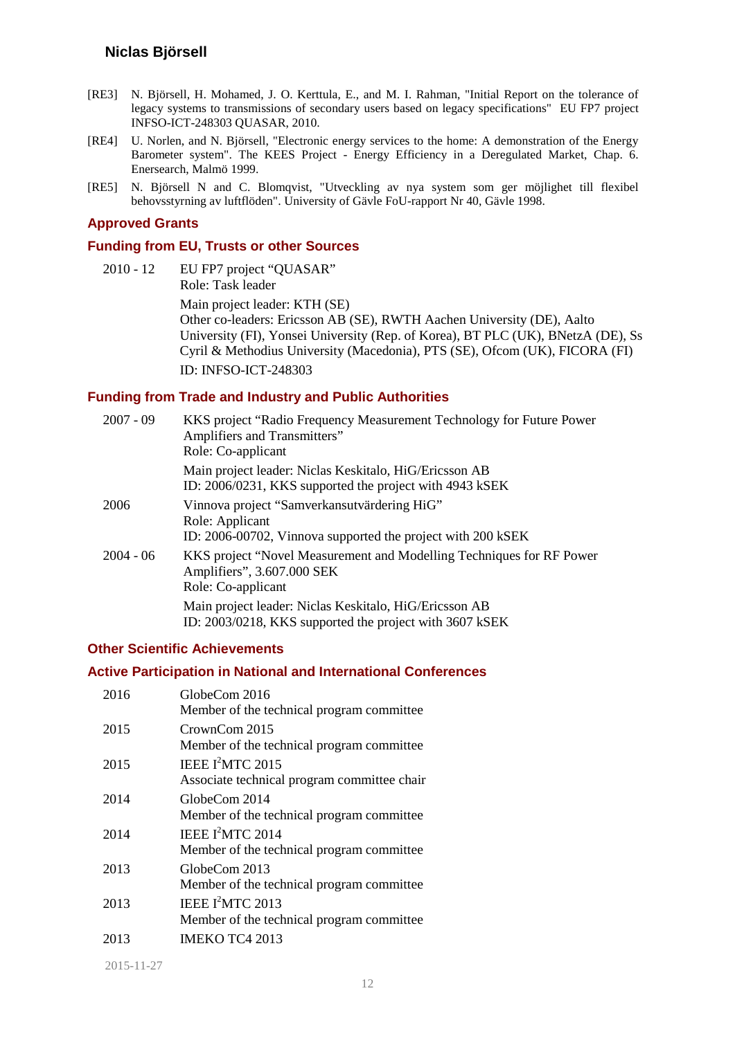- [RE3] N. Björsell, H. Mohamed, J. O. Kerttula, E., and M. I. Rahman, "Initial Report on the tolerance of legacy systems to transmissions of secondary users based on legacy specifications" EU FP7 project INFSO-ICT-248303 QUASAR, 2010.
- <span id="page-11-1"></span>[RE4] U. Norlen, and N. Björsell, "Electronic energy services to the home: A demonstration of the Energy Barometer system". The KEES Project - Energy Efficiency in a Deregulated Market, Chap. 6. Enersearch, Malmö 1999.
- <span id="page-11-0"></span>[RE5] N. Björsell N and C. Blomqvist, "Utveckling av nya system som ger möjlighet till flexibel behovsstyrning av luftflöden". University of Gävle FoU-rapport Nr 40, Gävle 1998.

#### **Approved Grants**

#### **Funding from EU, Trusts or other Sources**

2010 - 12 EU FP7 project "QUASAR" Role: Task leader Main project leader: KTH (SE) Other co-leaders: Ericsson AB (SE), RWTH Aachen University (DE), Aalto University (FI), Yonsei University (Rep. of Korea), BT PLC (UK), BNetzA (DE), Ss Cyril & Methodius University (Macedonia), PTS (SE), Ofcom (UK), FICORA (FI) ID: INFSO-ICT-248303

#### **Funding from Trade and Industry and Public Authorities**

| $2007 - 09$ | KKS project "Radio Frequency Measurement Technology for Future Power<br>Amplifiers and Transmitters"<br>Role: Co-applicant    |
|-------------|-------------------------------------------------------------------------------------------------------------------------------|
|             | Main project leader: Niclas Keskitalo, HiG/Ericsson AB<br>ID: 2006/0231, KKS supported the project with 4943 kSEK             |
| 2006        | Vinnova project "Samverkansutvärdering HiG"<br>Role: Applicant<br>ID: 2006-00702, Vinnova supported the project with 200 kSEK |
| $2004 - 06$ | KKS project "Novel Measurement and Modelling Techniques for RF Power<br>Amplifiers", 3.607.000 SEK<br>Role: Co-applicant      |
|             | Main project leader: Niclas Keskitalo, HiG/Ericsson AB<br>ID: 2003/0218, KKS supported the project with 3607 kSEK             |

#### **Other Scientific Achievements**

#### **Active Participation in National and International Conferences**

| 2016 | GlobeCom 2016<br>Member of the technical program committee                  |
|------|-----------------------------------------------------------------------------|
| 2015 | CrownCom 2015<br>Member of the technical program committee                  |
| 2015 | IEEE I <sup>2</sup> MTC 2015<br>Associate technical program committee chair |
| 2014 | GlobeCom 2014<br>Member of the technical program committee                  |
| 2014 | IEEE $I^2$ MTC 2014<br>Member of the technical program committee            |
| 2013 | GlobeCom 2013<br>Member of the technical program committee                  |
| 2013 | IEEE I <sup>2</sup> MTC 2013<br>Member of the technical program committee   |
| 2013 | <b>IMEKO TC4 2013</b>                                                       |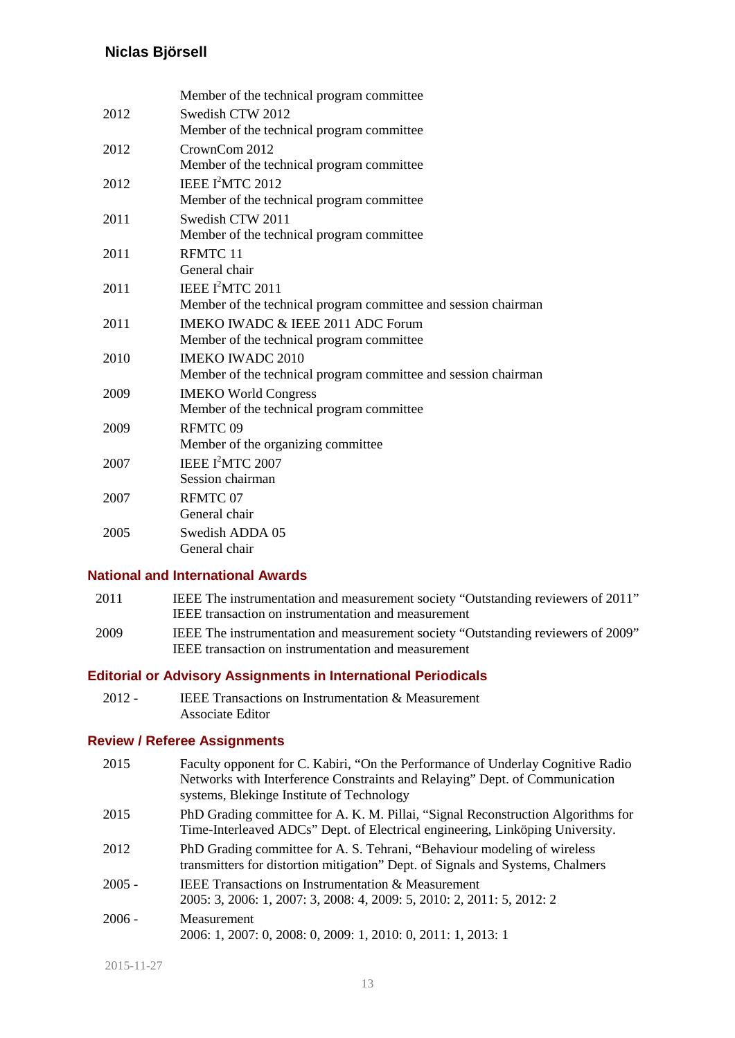|      | Member of the technical program committee                      |
|------|----------------------------------------------------------------|
| 2012 | Swedish CTW 2012                                               |
|      | Member of the technical program committee                      |
| 2012 | CrownCom 2012                                                  |
|      | Member of the technical program committee                      |
| 2012 | IEEE I <sup>2</sup> MTC 2012                                   |
|      | Member of the technical program committee                      |
| 2011 | Swedish CTW 2011                                               |
|      | Member of the technical program committee                      |
| 2011 | RFMTC 11                                                       |
|      | General chair                                                  |
| 2011 | IEEE I <sup>2</sup> MTC 2011                                   |
|      | Member of the technical program committee and session chairman |
| 2011 | IMEKO IWADC & IEEE 2011 ADC Forum                              |
|      | Member of the technical program committee                      |
| 2010 | <b>IMEKO IWADC 2010</b>                                        |
|      | Member of the technical program committee and session chairman |
| 2009 | <b>IMEKO World Congress</b>                                    |
|      | Member of the technical program committee                      |
| 2009 | RFMTC <sub>09</sub>                                            |
|      | Member of the organizing committee                             |
| 2007 | IEEE I <sup>2</sup> MTC 2007                                   |
|      | Session chairman                                               |
| 2007 | RFMTC 07                                                       |
|      | General chair                                                  |
| 2005 | Swedish ADDA 05                                                |
|      | General chair                                                  |

## **National and International Awards**

| 2011  | IEEE The instrumentation and measurement society "Outstanding reviewers of 2011" |
|-------|----------------------------------------------------------------------------------|
|       | IEEE transaction on instrumentation and measurement                              |
| 0.000 | 0.00033<br>$\mathbf{r}$                                                          |

2009 IEEE The instrumentation and measurement society "Outstanding reviewers of 2009" IEEE transaction on instrumentation and measurement

### **Editorial or Advisory Assignments in International Periodicals**

2012 - IEEE Transactions on Instrumentation & Measurement Associate Editor

### **Review / Referee Assignments**

| 2015     | Faculty opponent for C. Kabiri, "On the Performance of Underlay Cognitive Radio<br>Networks with Interference Constraints and Relaying" Dept. of Communication<br>systems, Blekinge Institute of Technology |
|----------|-------------------------------------------------------------------------------------------------------------------------------------------------------------------------------------------------------------|
| 2015     | PhD Grading committee for A. K. M. Pillai, "Signal Reconstruction Algorithms for<br>Time-Interleaved ADCs" Dept. of Electrical engineering, Linköping University.                                           |
| 2012     | PhD Grading committee for A. S. Tehrani, "Behaviour modeling of wireless"<br>transmitters for distortion mitigation" Dept. of Signals and Systems, Chalmers                                                 |
| $2005 -$ | <b>IEEE</b> Transactions on Instrumentation & Measurement<br>2005: 3, 2006: 1, 2007: 3, 2008: 4, 2009: 5, 2010: 2, 2011: 5, 2012: 2                                                                         |
| $2006 -$ | Measurement<br>2006: 1, 2007: 0, 2008: 0, 2009: 1, 2010: 0, 2011: 1, 2013: 1                                                                                                                                |

2015-11-27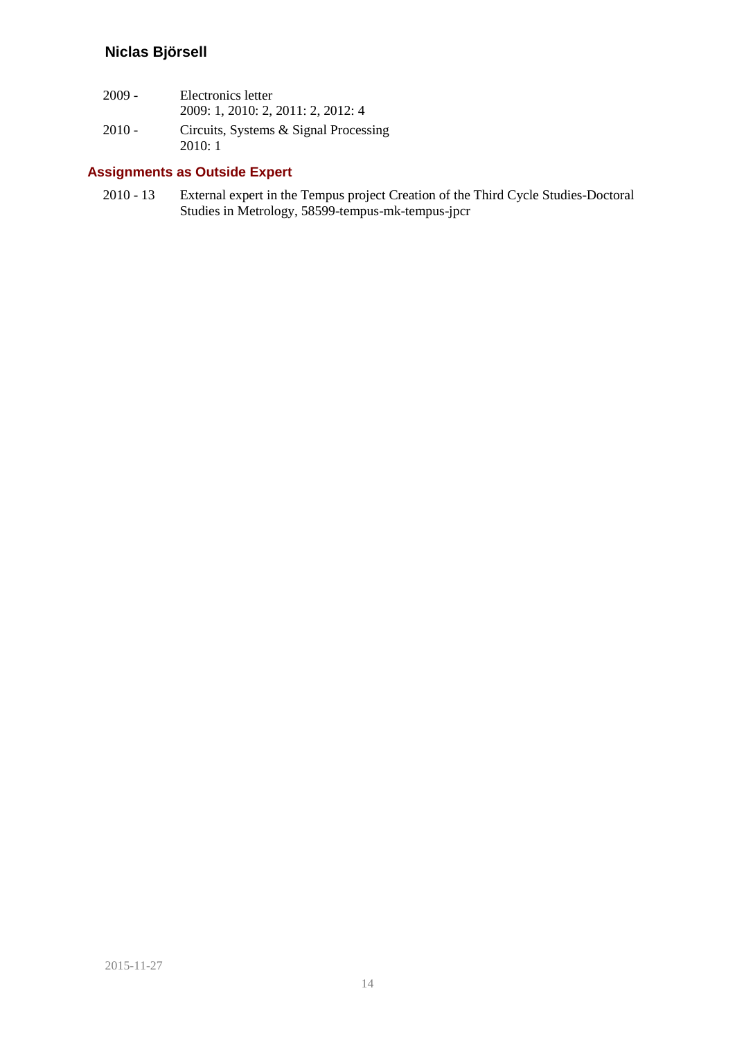| $2009 -$ | Electronics letter<br>2009: 1, 2010: 2, 2011: 2, 2012: 4 |
|----------|----------------------------------------------------------|
| $2010 -$ | Circuits, Systems & Signal Processing<br>2010:1          |

## **Assignments as Outside Expert**

2010 - 13 External expert in the Tempus project Creation of the Third Cycle Studies-Doctoral Studies in Metrology, 58599-tempus-mk-tempus-jpcr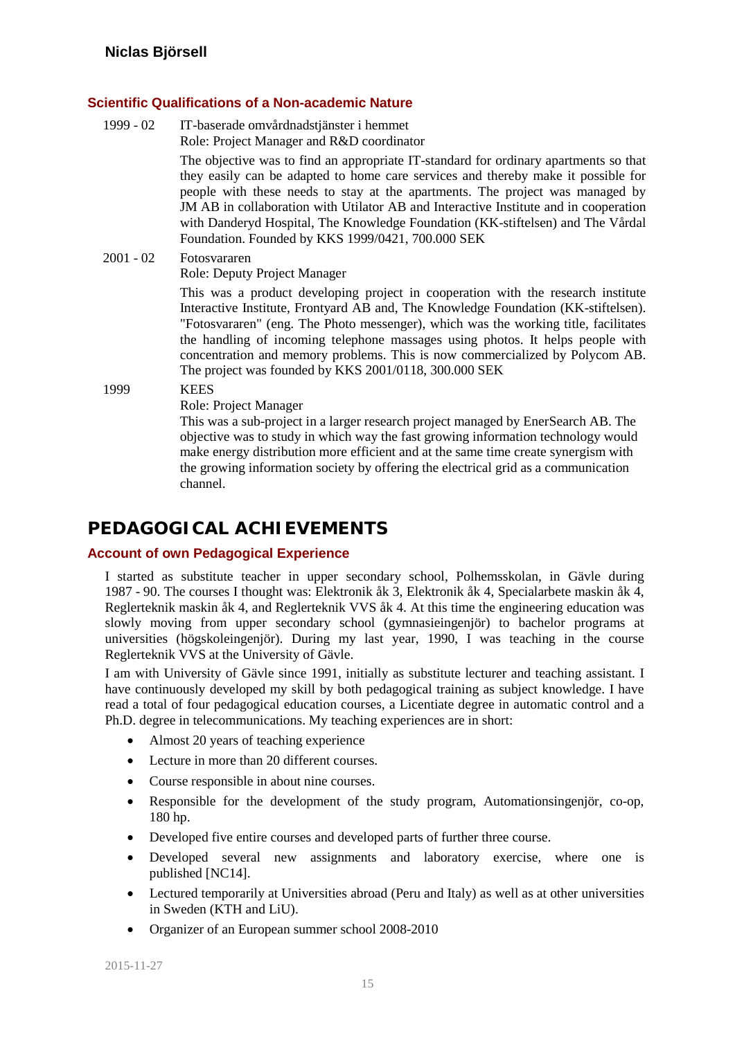### **Scientific Qualifications of a Non-academic Nature**

1999 - 02 IT-baserade omvårdnadstjänster i hemmet Role: Project Manager and R&D coordinator

> The objective was to find an appropriate IT-standard for ordinary apartments so that they easily can be adapted to home care services and thereby make it possible for people with these needs to stay at the apartments. The project was managed by JM AB in collaboration with Utilator AB and Interactive Institute and in cooperation with Danderyd Hospital, The Knowledge Foundation (KK-stiftelsen) and The Vårdal Foundation. Founded by KKS 1999/0421, 700.000 SEK

#### 2001 - 02 Fotosvararen

Role: Deputy Project Manager

This was a product developing project in cooperation with the research institute Interactive Institute, Frontyard AB and, The Knowledge Foundation (KK-stiftelsen). "Fotosvararen" (eng. The Photo messenger), which was the working title, facilitates the handling of incoming telephone massages using photos. It helps people with concentration and memory problems. This is now commercialized by Polycom AB. The project was founded by KKS 2001/0118, 300.000 SEK

1999 KEES

Role: Project Manager

This was a sub-project in a larger research project managed by EnerSearch AB. The objective was to study in which way the fast growing information technology would make energy distribution more efficient and at the same time create synergism with the growing information society by offering the electrical grid as a communication channel.

# **PEDAGOGICAL ACHIEVEMENTS**

### **Account of own Pedagogical Experience**

I started as substitute teacher in upper secondary school, Polhemsskolan, in Gävle during 1987 - 90. The courses I thought was: Elektronik åk 3, Elektronik åk 4, Specialarbete maskin åk 4, Reglerteknik maskin åk 4, and Reglerteknik VVS åk 4. At this time the engineering education was slowly moving from upper secondary school (gymnasieingenjör) to bachelor programs at universities (högskoleingenjör). During my last year, 1990, I was teaching in the course Reglerteknik VVS at the University of Gävle.

I am with University of Gävle since 1991, initially as substitute lecturer and teaching assistant. I have continuously developed my skill by both pedagogical training as subject knowledge. I have read a total of four pedagogical education courses, a Licentiate degree in automatic control and a Ph.D. degree in telecommunications. My teaching experiences are in short:

- Almost 20 years of teaching experience
- Lecture in more than 20 different courses.
- Course responsible in about nine courses.
- Responsible for the development of the study program, Automationsingenjör, co-op, 180 hp.
- Developed five entire courses and developed parts of further three course.
- Developed several new assignments and laboratory exercise, where one is published [\[NC14\].](#page-10-17)
- Lectured temporarily at Universities abroad (Peru and Italy) as well as at other universities in Sweden (KTH and LiU).
- Organizer of an European summer school 2008-2010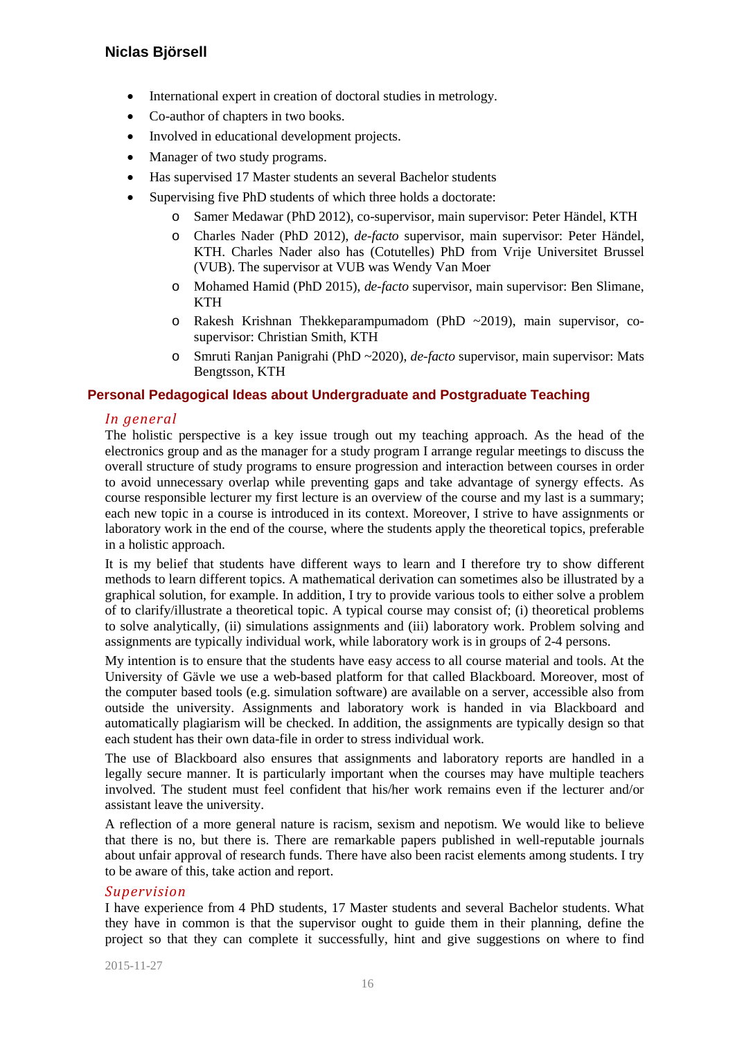- International expert in creation of doctoral studies in metrology.
- Co-author of chapters in two books.
- Involved in educational development projects.
- Manager of two study programs.
- Has supervised 17 Master students an several Bachelor students
- Supervising five PhD students of which three holds a doctorate:
	- o Samer Medawar (PhD 2012), co-supervisor, main supervisor: Peter Händel, KTH
	- o Charles Nader (PhD 2012), *de-facto* supervisor, main supervisor: Peter Händel, KTH. Charles Nader also has (Cotutelles) PhD from Vrije Universitet Brussel (VUB). The supervisor at VUB was Wendy Van Moer
	- o Mohamed Hamid (PhD 2015), *de-facto* supervisor, main supervisor: Ben Slimane, **KTH**
	- $\circ$  Rakesh Krishnan Thekkeparampumadom (PhD  $\sim$ 2019), main supervisor, cosupervisor: Christian Smith, KTH
	- o Smruti Ranjan Panigrahi (PhD ~2020), *de-facto* supervisor, main supervisor: Mats Bengtsson, KTH

#### **Personal Pedagogical Ideas about Undergraduate and Postgraduate Teaching**

#### *In general*

The holistic perspective is a key issue trough out my teaching approach. As the head of the electronics group and as the manager for a study program I arrange regular meetings to discuss the overall structure of study programs to ensure progression and interaction between courses in order to avoid unnecessary overlap while preventing gaps and take advantage of synergy effects. As course responsible lecturer my first lecture is an overview of the course and my last is a summary; each new topic in a course is introduced in its context. Moreover, I strive to have assignments or laboratory work in the end of the course, where the students apply the theoretical topics, preferable in a holistic approach.

It is my belief that students have different ways to learn and I therefore try to show different methods to learn different topics. A mathematical derivation can sometimes also be illustrated by a graphical solution, for example. In addition, I try to provide various tools to either solve a problem of to clarify/illustrate a theoretical topic. A typical course may consist of; (i) theoretical problems to solve analytically, (ii) simulations assignments and (iii) laboratory work. Problem solving and assignments are typically individual work, while laboratory work is in groups of 2-4 persons.

My intention is to ensure that the students have easy access to all course material and tools. At the University of Gävle we use a web-based platform for that called Blackboard. Moreover, most of the computer based tools (e.g. simulation software) are available on a server, accessible also from outside the university. Assignments and laboratory work is handed in via Blackboard and automatically plagiarism will be checked. In addition, the assignments are typically design so that each student has their own data-file in order to stress individual work.

The use of Blackboard also ensures that assignments and laboratory reports are handled in a legally secure manner. It is particularly important when the courses may have multiple teachers involved. The student must feel confident that his/her work remains even if the lecturer and/or assistant leave the university.

A reflection of a more general nature is racism, sexism and nepotism. We would like to believe that there is no, but there is. There are remarkable papers published in well-reputable journals about unfair approval of research funds. There have also been racist elements among students. I try to be aware of this, take action and report.

#### *Supervision*

I have experience from 4 PhD students, 17 Master students and several Bachelor students. What they have in common is that the supervisor ought to guide them in their planning, define the project so that they can complete it successfully, hint and give suggestions on where to find

2015-11-27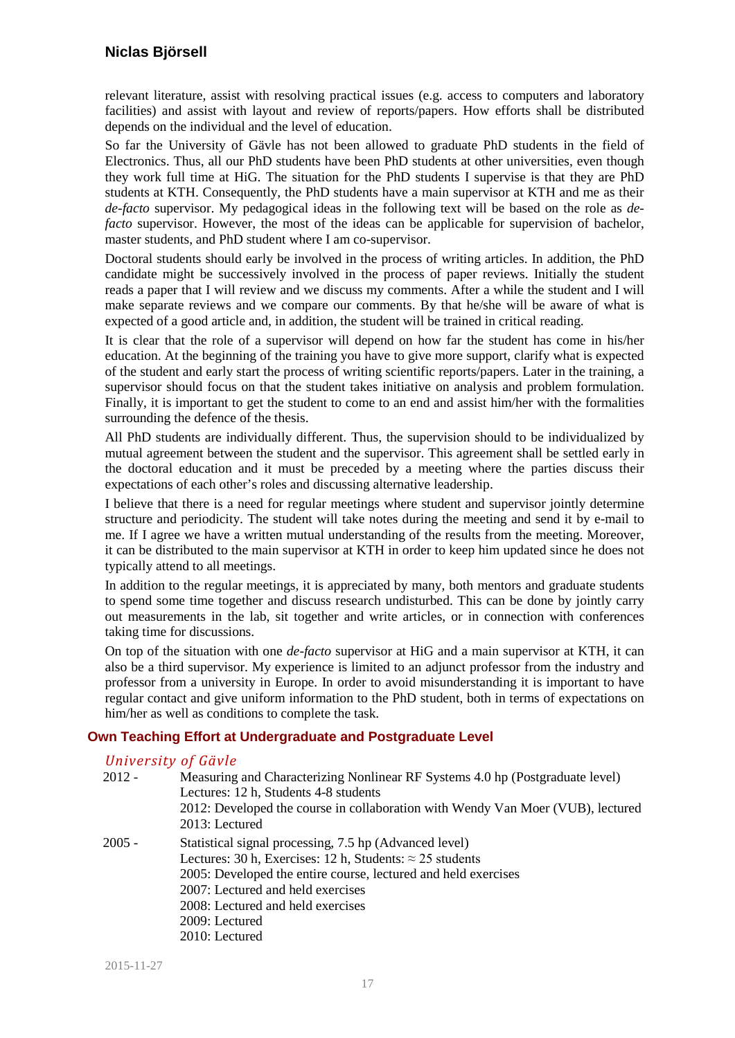relevant literature, assist with resolving practical issues (e.g. access to computers and laboratory facilities) and assist with layout and review of reports/papers. How efforts shall be distributed depends on the individual and the level of education.

So far the University of Gävle has not been allowed to graduate PhD students in the field of Electronics. Thus, all our PhD students have been PhD students at other universities, even though they work full time at HiG. The situation for the PhD students I supervise is that they are PhD students at KTH. Consequently, the PhD students have a main supervisor at KTH and me as their *de-facto* supervisor. My pedagogical ideas in the following text will be based on the role as *defacto* supervisor. However, the most of the ideas can be applicable for supervision of bachelor, master students, and PhD student where I am co-supervisor.

Doctoral students should early be involved in the process of writing articles. In addition, the PhD candidate might be successively involved in the process of paper reviews. Initially the student reads a paper that I will review and we discuss my comments. After a while the student and I will make separate reviews and we compare our comments. By that he/she will be aware of what is expected of a good article and, in addition, the student will be trained in critical reading.

It is clear that the role of a supervisor will depend on how far the student has come in his/her education. At the beginning of the training you have to give more support, clarify what is expected of the student and early start the process of writing scientific reports/papers. Later in the training, a supervisor should focus on that the student takes initiative on analysis and problem formulation. Finally, it is important to get the student to come to an end and assist him/her with the formalities surrounding the defence of the thesis.

All PhD students are individually different. Thus, the supervision should to be individualized by mutual agreement between the student and the supervisor. This agreement shall be settled early in the doctoral education and it must be preceded by a meeting where the parties discuss their expectations of each other's roles and discussing alternative leadership.

I believe that there is a need for regular meetings where student and supervisor jointly determine structure and periodicity. The student will take notes during the meeting and send it by e-mail to me. If I agree we have a written mutual understanding of the results from the meeting. Moreover, it can be distributed to the main supervisor at KTH in order to keep him updated since he does not typically attend to all meetings.

In addition to the regular meetings, it is appreciated by many, both mentors and graduate students to spend some time together and discuss research undisturbed. This can be done by jointly carry out measurements in the lab, sit together and write articles, or in connection with conferences taking time for discussions.

On top of the situation with one *de-facto* supervisor at HiG and a main supervisor at KTH, it can also be a third supervisor. My experience is limited to an adjunct professor from the industry and professor from a university in Europe. In order to avoid misunderstanding it is important to have regular contact and give uniform information to the PhD student, both in terms of expectations on him/her as well as conditions to complete the task.

### **Own Teaching Effort at Undergraduate and Postgraduate Level**

### *University of Gävle*

| $2012 -$ | Measuring and Characterizing Nonlinear RF Systems 4.0 hp (Postgraduate level)<br>Lectures: 12 h, Students 4-8 students<br>2012: Developed the course in collaboration with Wendy Van Moer (VUB), lectured<br>2013: Lectured                                                                                |
|----------|------------------------------------------------------------------------------------------------------------------------------------------------------------------------------------------------------------------------------------------------------------------------------------------------------------|
| $2005 -$ | Statistical signal processing, 7.5 hp (Advanced level)<br>Lectures: 30 h, Exercises: 12 h, Students: $\approx$ 25 students<br>2005: Developed the entire course, lectured and held exercises<br>2007: Lectured and held exercises<br>2008: Lectured and held exercises<br>2009: Lectured<br>2010: Lectured |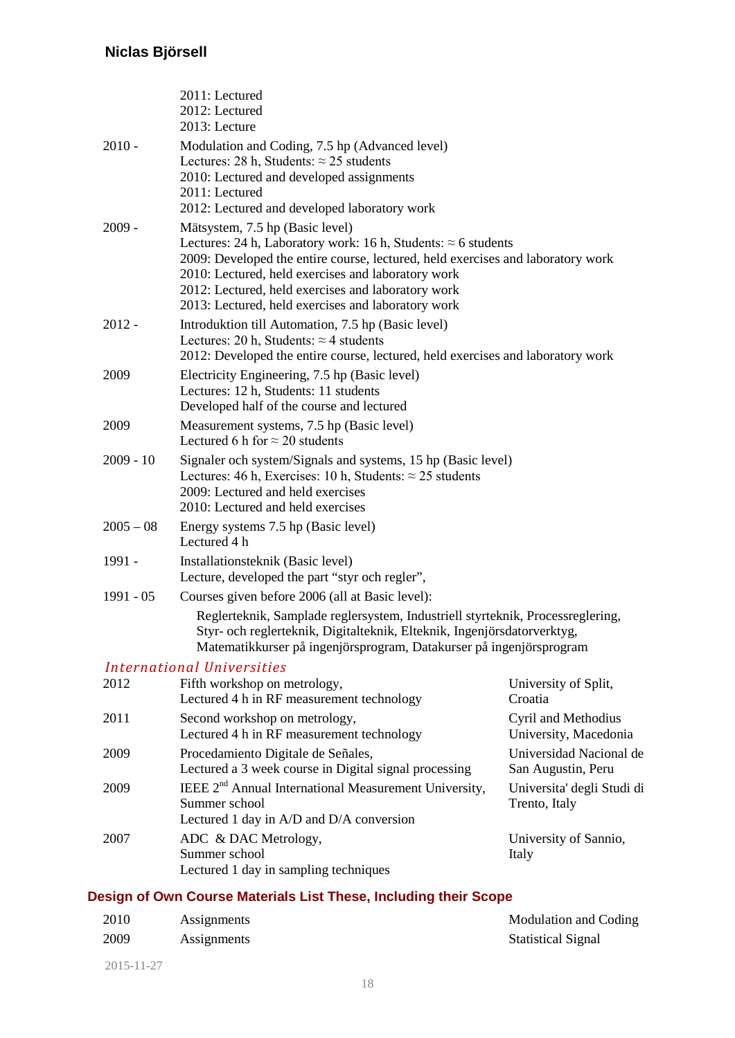|             | 2011: Lectured<br>2012: Lectured<br>2013: Lecture                                                                                                                                                                                                                                                                                                             |                                               |  |
|-------------|---------------------------------------------------------------------------------------------------------------------------------------------------------------------------------------------------------------------------------------------------------------------------------------------------------------------------------------------------------------|-----------------------------------------------|--|
| $2010 -$    | Modulation and Coding, 7.5 hp (Advanced level)<br>Lectures: 28 h, Students: $\approx$ 25 students<br>2010: Lectured and developed assignments<br>2011: Lectured<br>2012: Lectured and developed laboratory work                                                                                                                                               |                                               |  |
| $2009 -$    | Mätsystem, 7.5 hp (Basic level)<br>Lectures: 24 h, Laboratory work: 16 h, Students: $\approx$ 6 students<br>2009: Developed the entire course, lectured, held exercises and laboratory work<br>2010: Lectured, held exercises and laboratory work<br>2012: Lectured, held exercises and laboratory work<br>2013: Lectured, held exercises and laboratory work |                                               |  |
| $2012 -$    | Introduktion till Automation, 7.5 hp (Basic level)<br>Lectures: 20 h, Students: $\approx$ 4 students<br>2012: Developed the entire course, lectured, held exercises and laboratory work                                                                                                                                                                       |                                               |  |
| 2009        | Electricity Engineering, 7.5 hp (Basic level)<br>Lectures: 12 h, Students: 11 students<br>Developed half of the course and lectured                                                                                                                                                                                                                           |                                               |  |
| 2009        | Measurement systems, 7.5 hp (Basic level)<br>Lectured 6 h for $\approx$ 20 students                                                                                                                                                                                                                                                                           |                                               |  |
| $2009 - 10$ | Signaler och system/Signals and systems, 15 hp (Basic level)<br>Lectures: 46 h, Exercises: 10 h, Students: $\approx$ 25 students<br>2009: Lectured and held exercises<br>2010: Lectured and held exercises                                                                                                                                                    |                                               |  |
| $2005 - 08$ | Energy systems 7.5 hp (Basic level)<br>Lectured 4 h                                                                                                                                                                                                                                                                                                           |                                               |  |
| 1991 -      | Installationsteknik (Basic level)<br>Lecture, developed the part "styr och regler",                                                                                                                                                                                                                                                                           |                                               |  |
| $1991 - 05$ | Courses given before 2006 (all at Basic level):                                                                                                                                                                                                                                                                                                               |                                               |  |
|             | Reglerteknik, Samplade reglersystem, Industriell styrteknik, Processreglering,<br>Styr- och reglerteknik, Digitalteknik, Elteknik, Ingenjörsdatorverktyg,<br>Matematikkurser på ingenjörsprogram, Datakurser på ingenjörsprogram                                                                                                                              |                                               |  |
|             | <b>International Universities</b>                                                                                                                                                                                                                                                                                                                             |                                               |  |
| 2012        | Fifth workshop on metrology,<br>Lectured 4 h in RF measurement technology                                                                                                                                                                                                                                                                                     | University of Split,<br>Croatia               |  |
| 2011        | Second workshop on metrology,<br>Lectured 4 h in RF measurement technology                                                                                                                                                                                                                                                                                    | Cyril and Methodius<br>University, Macedonia  |  |
| 2009        | Procedamiento Digitale de Señales,<br>Lectured a 3 week course in Digital signal processing                                                                                                                                                                                                                                                                   | Universidad Nacional de<br>San Augustin, Peru |  |
| 2009        | IEEE 2 <sup>nd</sup> Annual International Measurement University,<br>Summer school<br>Lectured 1 day in A/D and D/A conversion                                                                                                                                                                                                                                | Universita' degli Studi di<br>Trento, Italy   |  |
| 2007        | ADC & DAC Metrology,<br>Summer school<br>Lectured 1 day in sampling techniques                                                                                                                                                                                                                                                                                | University of Sannio,<br>Italy                |  |

# **Design of Own Course Materials List These, Including their Scope**

| 2010 | Assignments | Modulation and Coding     |
|------|-------------|---------------------------|
| 2009 | Assignments | <b>Statistical Signal</b> |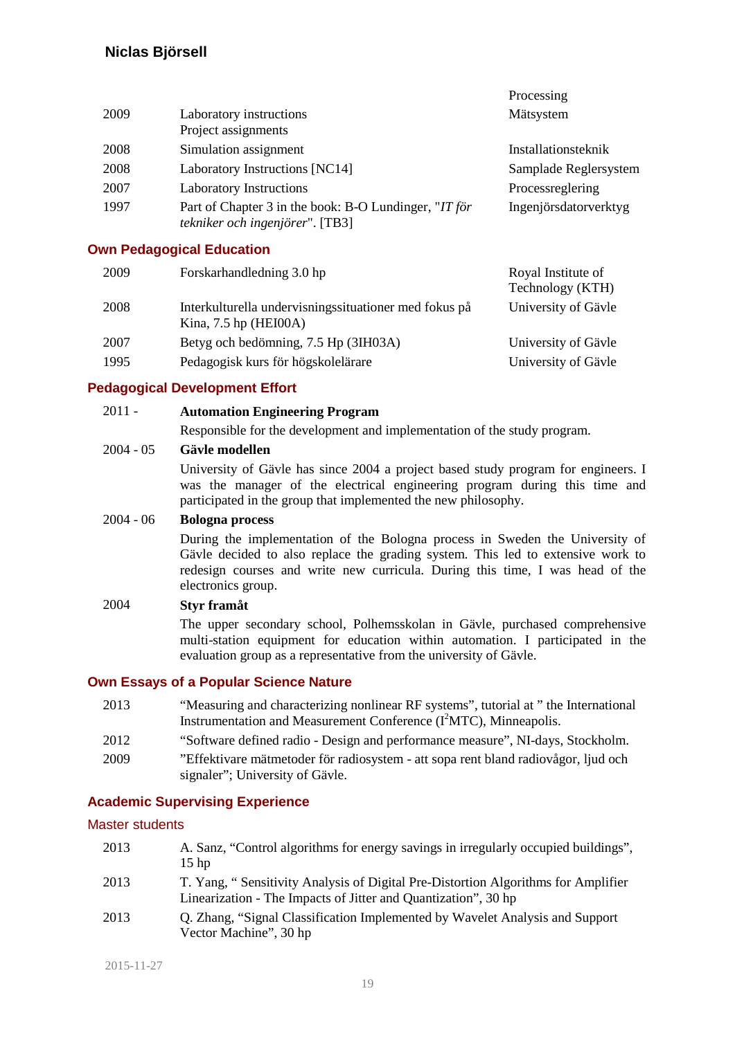|      |                                                                                          | Processing                             |
|------|------------------------------------------------------------------------------------------|----------------------------------------|
| 2009 | Laboratory instructions<br>Project assignments                                           | Mätsystem                              |
| 2008 | Simulation assignment                                                                    | Installationsteknik                    |
| 2008 | Laboratory Instructions [NC14]                                                           | Samplade Reglersystem                  |
| 2007 | <b>Laboratory Instructions</b>                                                           | Processreglering                       |
| 1997 | Part of Chapter 3 in the book: B-O Lundinger, "IT för<br>tekniker och ingenjörer". [TB3] | Ingenjörsdatorverktyg                  |
|      | <b>Own Pedagogical Education</b>                                                         |                                        |
| 2009 | Forskarhandledning 3.0 hp                                                                | Royal Institute of<br>Technology (KTH) |

| 2008 | Interkulturella undervisningssituationer med fokus på | University of Gävle |
|------|-------------------------------------------------------|---------------------|
|      | Kina, $7.5$ hp (HEI00A)                               |                     |
| 2007 | Betyg och bedömning, 7.5 Hp (3IH03A)                  | University of Gävle |
| 1995 | Pedagogisk kurs för högskolelärare                    | University of Gävle |

### **Pedagogical Development Effort**

#### 2011 - **Automation Engineering Program**

Responsible for the development and implementation of the study program.

#### 2004 - 05 **Gävle modellen**

University of Gävle has since 2004 a project based study program for engineers. I was the manager of the electrical engineering program during this time and participated in the group that implemented the new philosophy.

#### 2004 - 06 **Bologna process**

During the implementation of the Bologna process in Sweden the University of Gävle decided to also replace the grading system. This led to extensive work to redesign courses and write new curricula. During this time, I was head of the electronics group.

### 2004 **Styr framåt**

The upper secondary school, Polhemsskolan in Gävle, purchased comprehensive multi-station equipment for education within automation. I participated in the evaluation group as a representative from the university of Gävle.

### **Own Essays of a Popular Science Nature**

- 2013 "Measuring and characterizing nonlinear RF systems", tutorial at " the International Instrumentation and Measurement Conference (I<sup>2</sup>MTC), Minneapolis. 2012 "Software defined radio - Design and performance measure", NI-days, Stockholm.
- 2009 "Effektivare mätmetoder för radiosystem att sopa rent bland radiovågor, ljud och signaler"; University of Gävle.

### **Academic Supervising Experience**

#### Master students

| 2013 | A. Sanz, "Control algorithms for energy savings in irregularly occupied buildings", |
|------|-------------------------------------------------------------------------------------|
|      | $15$ hp                                                                             |
| 2013 | T. Yang, "Sensitivity Analysis of Digital Pre-Distortion Algorithms for Amplifier   |
|      | Linearization - The Impacts of Jitter and Quantization", 30 hp                      |

2013 Q. Zhang, "Signal Classification Implemented by Wavelet Analysis and Support Vector Machine", 30 hp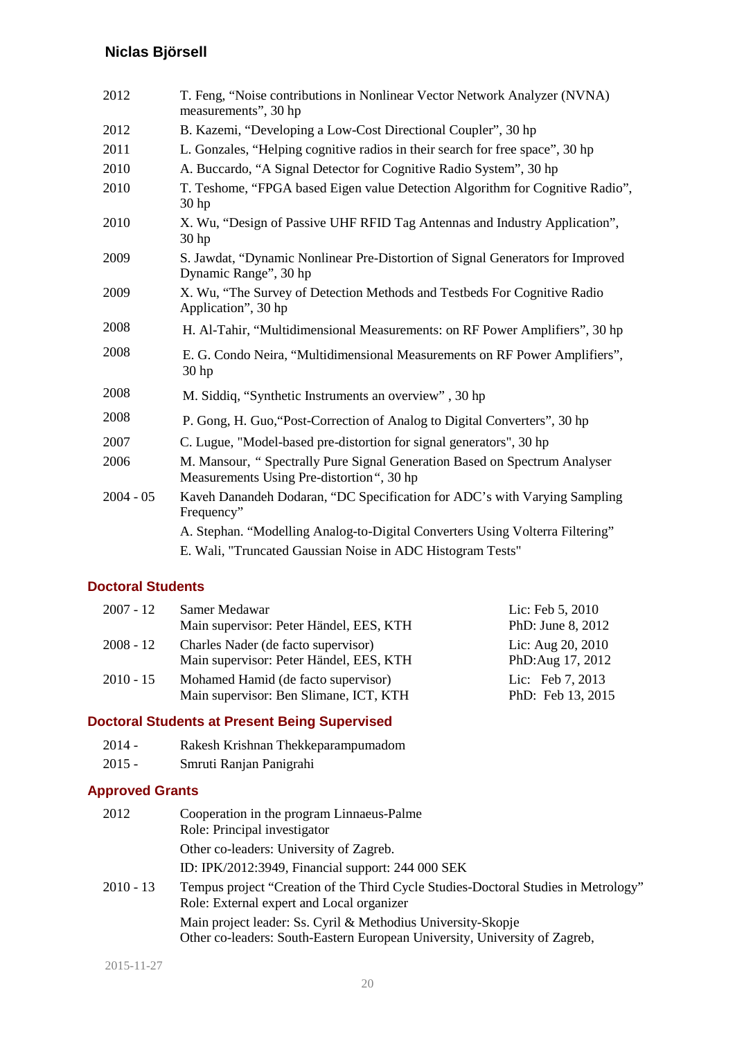| 2012        | T. Feng, "Noise contributions in Nonlinear Vector Network Analyzer (NVNA)<br>measurements", 30 hp                      |  |
|-------------|------------------------------------------------------------------------------------------------------------------------|--|
| 2012        | B. Kazemi, "Developing a Low-Cost Directional Coupler", 30 hp                                                          |  |
| 2011        | L. Gonzales, "Helping cognitive radios in their search for free space", 30 hp                                          |  |
| 2010        | A. Buccardo, "A Signal Detector for Cognitive Radio System", 30 hp                                                     |  |
| 2010        | T. Teshome, "FPGA based Eigen value Detection Algorithm for Cognitive Radio",<br>30 <sub>hp</sub>                      |  |
| 2010        | X. Wu, "Design of Passive UHF RFID Tag Antennas and Industry Application",<br>30 <sub>hp</sub>                         |  |
| 2009        | S. Jawdat, "Dynamic Nonlinear Pre-Distortion of Signal Generators for Improved<br>Dynamic Range", 30 hp                |  |
| 2009        | X. Wu, "The Survey of Detection Methods and Testbeds For Cognitive Radio<br>Application", 30 hp                        |  |
| 2008        | H. Al-Tahir, "Multidimensional Measurements: on RF Power Amplifiers", 30 hp                                            |  |
| 2008        | E. G. Condo Neira, "Multidimensional Measurements on RF Power Amplifiers",<br>30 <sub>hp</sub>                         |  |
| 2008        | M. Siddiq, "Synthetic Instruments an overview", 30 hp                                                                  |  |
| 2008        | P. Gong, H. Guo, "Post-Correction of Analog to Digital Converters", 30 hp                                              |  |
| 2007        | C. Lugue, "Model-based pre-distortion for signal generators", 30 hp                                                    |  |
| 2006        | M. Mansour, "Spectrally Pure Signal Generation Based on Spectrum Analyser<br>Measurements Using Pre-distortion", 30 hp |  |
| $2004 - 05$ | Kaveh Danandeh Dodaran, "DC Specification for ADC's with Varying Sampling<br>Frequency"                                |  |
|             | A. Stephan. "Modelling Analog-to-Digital Converters Using Volterra Filtering"                                          |  |
|             | E. Wali, "Truncated Gaussian Noise in ADC Histogram Tests"                                                             |  |

### **Doctoral Students**

| 2007 - 12 | Samer Medawar                                                                  | Lic: Feb 5, 2010                        |
|-----------|--------------------------------------------------------------------------------|-----------------------------------------|
|           | Main supervisor: Peter Händel, EES, KTH                                        | PhD: June 8, 2012                       |
| 2008 - 12 | Charles Nader (de facto supervisor)<br>Main supervisor: Peter Händel, EES, KTH | Lic: Aug 20, 2010<br>PhD: Aug 17, 2012  |
| 2010 - 15 | Mohamed Hamid (de facto supervisor)<br>Main supervisor: Ben Slimane, ICT, KTH  | Lic: Feb $7, 2013$<br>PhD: Feb 13, 2015 |

## **Doctoral Students at Present Being Supervised**

| $2014 -$ | Rakesh Krishnan Thekkeparampumadom |
|----------|------------------------------------|
|----------|------------------------------------|

2015 - Smruti Ranjan Panigrahi

# **Approved Grants**

| 2012        | Cooperation in the program Linnaeus-Palme<br>Role: Principal investigator                                                                                        |
|-------------|------------------------------------------------------------------------------------------------------------------------------------------------------------------|
|             | Other co-leaders: University of Zagreb.                                                                                                                          |
|             | ID: IPK/2012:3949, Financial support: 244 000 SEK                                                                                                                |
| $2010 - 13$ | Tempus project "Creation of the Third Cycle Studies-Doctoral Studies in Metrology"<br>Role: External expert and Local organizer                                  |
|             | Main project leader: Ss. Cyril & Methodius University-Skopje<br>$\Omega$ den er 1. dem $\Omega$ ende Den em Den er en Heinenster Heinenster ef $\mathbb{Z}$ ende |

Other co-leaders: South-Eastern European University, University of Zagreb,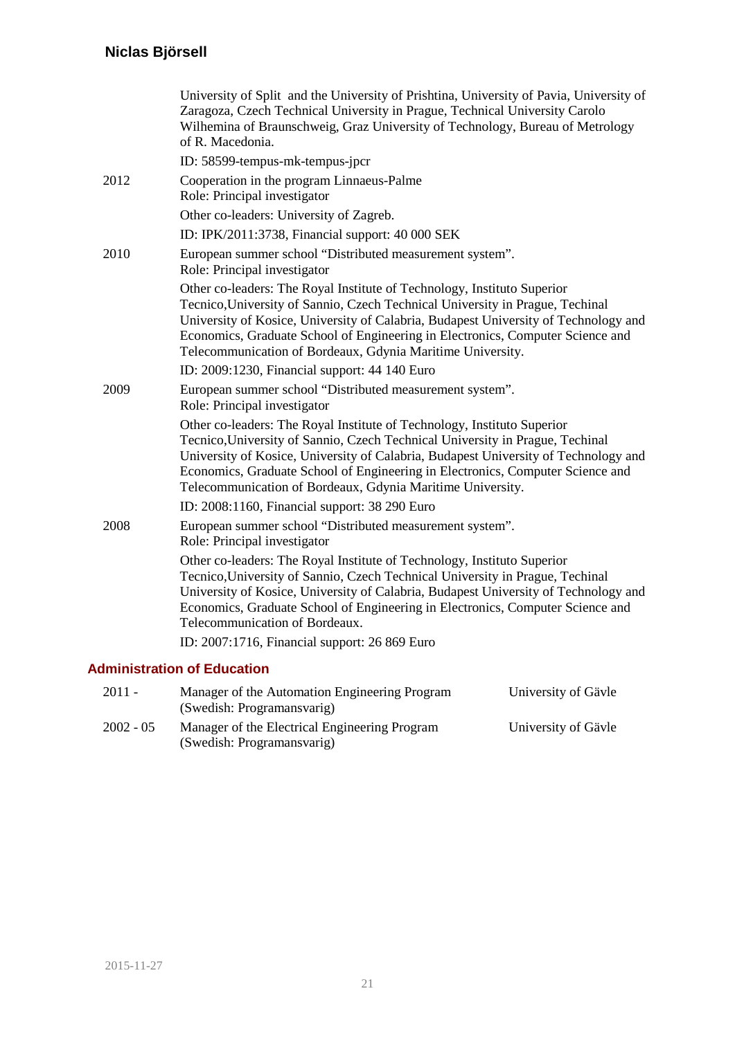|      | University of Split and the University of Prishtina, University of Pavia, University of<br>Zaragoza, Czech Technical University in Prague, Technical University Carolo<br>Wilhemina of Braunschweig, Graz University of Technology, Bureau of Metrology<br>of R. Macedonia.                                                                                                                                                                      |
|------|--------------------------------------------------------------------------------------------------------------------------------------------------------------------------------------------------------------------------------------------------------------------------------------------------------------------------------------------------------------------------------------------------------------------------------------------------|
|      | ID: 58599-tempus-mk-tempus-jpcr                                                                                                                                                                                                                                                                                                                                                                                                                  |
| 2012 | Cooperation in the program Linnaeus-Palme<br>Role: Principal investigator                                                                                                                                                                                                                                                                                                                                                                        |
|      | Other co-leaders: University of Zagreb.                                                                                                                                                                                                                                                                                                                                                                                                          |
|      | ID: IPK/2011:3738, Financial support: 40 000 SEK                                                                                                                                                                                                                                                                                                                                                                                                 |
| 2010 | European summer school "Distributed measurement system".<br>Role: Principal investigator                                                                                                                                                                                                                                                                                                                                                         |
|      | Other co-leaders: The Royal Institute of Technology, Instituto Superior<br>Tecnico, University of Sannio, Czech Technical University in Prague, Techinal<br>University of Kosice, University of Calabria, Budapest University of Technology and<br>Economics, Graduate School of Engineering in Electronics, Computer Science and<br>Telecommunication of Bordeaux, Gdynia Maritime University.<br>ID: 2009:1230, Financial support: 44 140 Euro |
|      |                                                                                                                                                                                                                                                                                                                                                                                                                                                  |
| 2009 | European summer school "Distributed measurement system".<br>Role: Principal investigator                                                                                                                                                                                                                                                                                                                                                         |
|      | Other co-leaders: The Royal Institute of Technology, Instituto Superior<br>Tecnico, University of Sannio, Czech Technical University in Prague, Techinal<br>University of Kosice, University of Calabria, Budapest University of Technology and<br>Economics, Graduate School of Engineering in Electronics, Computer Science and<br>Telecommunication of Bordeaux, Gdynia Maritime University.                                                  |
|      | ID: 2008:1160, Financial support: 38 290 Euro                                                                                                                                                                                                                                                                                                                                                                                                    |
| 2008 | European summer school "Distributed measurement system".<br>Role: Principal investigator                                                                                                                                                                                                                                                                                                                                                         |
|      | Other co-leaders: The Royal Institute of Technology, Instituto Superior<br>Tecnico, University of Sannio, Czech Technical University in Prague, Techinal<br>University of Kosice, University of Calabria, Budapest University of Technology and<br>Economics, Graduate School of Engineering in Electronics, Computer Science and<br>Telecommunication of Bordeaux.                                                                              |
|      | ID: 2007:1716, Financial support: 26 869 Euro                                                                                                                                                                                                                                                                                                                                                                                                    |
|      | dminictration of Education                                                                                                                                                                                                                                                                                                                                                                                                                       |

## **Administration of Education**

| $2011 -$    | Manager of the Automation Engineering Program | University of Gäyle |
|-------------|-----------------------------------------------|---------------------|
|             | (Swedish: Programansvarig)                    |                     |
| $2002 - 05$ | Manager of the Electrical Engineering Program | University of Gäyle |
|             | (Swedish: Programansvarig)                    |                     |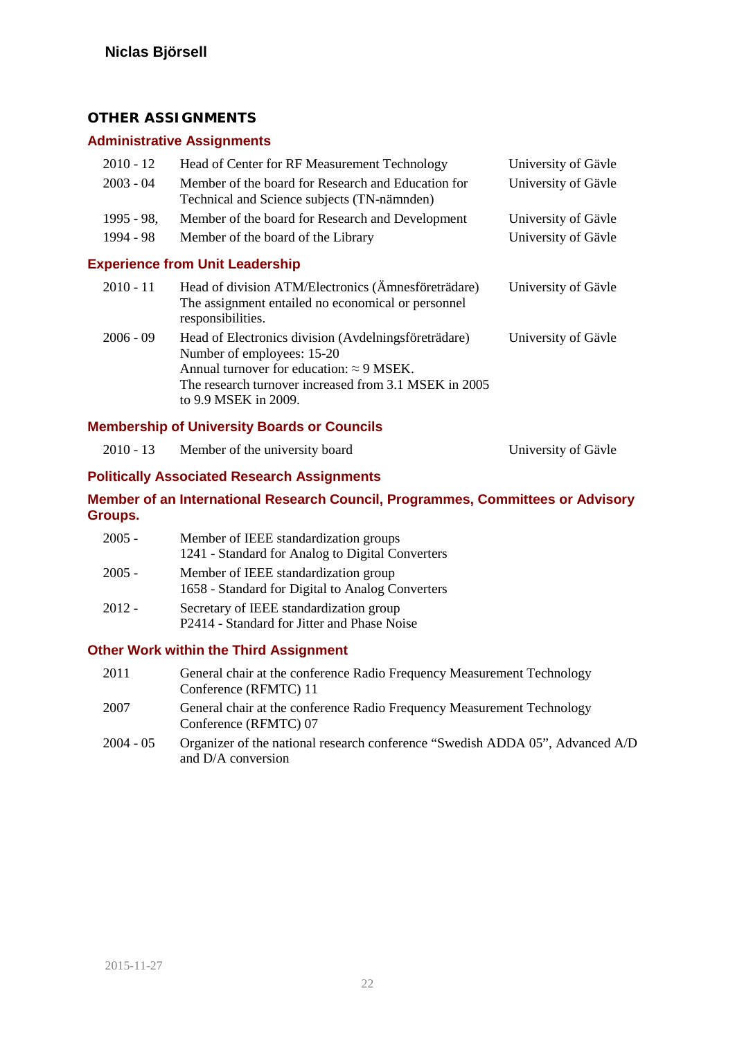## **OTHER ASSIGNMENTS**

## **Administrative Assignments**

| $2010 - 12$   | Head of Center for RF Measurement Technology                                                                                   | University of Gävle |
|---------------|--------------------------------------------------------------------------------------------------------------------------------|---------------------|
| $2003 - 04$   | Member of the board for Research and Education for<br>Technical and Science subjects (TN-nämnden)                              | University of Gävle |
| $1995 - 98$ , | Member of the board for Research and Development                                                                               | University of Gävle |
| 1994 - 98     | University of Gävle<br>Member of the board of the Library                                                                      |                     |
|               | <b>Experience from Unit Leadership</b>                                                                                         |                     |
| $2010 - 11$   | Head of division ATM/Electronics (Ämnesföreträdare)<br>The assignment entailed no economical or personnel<br>responsibilities. | University of Gävle |
| $2006 - 09$   |                                                                                                                                |                     |

Number of employees: 15-20 Annual turnover for education:  $\approx$  9 MSEK. The research turnover increased from 3.1 MSEK in 2005 to 9.9 MSEK in 2009.

### **Membership of University Boards or Councils**

| 2010 - 13 | Member of the university board | University of Gävle |
|-----------|--------------------------------|---------------------|
|-----------|--------------------------------|---------------------|

### **Politically Associated Research Assignments**

### **Member of an International Research Council, Programmes, Committees or Advisory Groups.**

| $2005 -$ | Member of IEEE standardization groups<br>1241 - Standard for Analog to Digital Converters |
|----------|-------------------------------------------------------------------------------------------|
| $2005 -$ | Member of IEEE standardization group<br>1658 - Standard for Digital to Analog Converters  |
| $2012 -$ | Secretary of IEEE standardization group<br>P2414 - Standard for Jitter and Phase Noise    |

### **Other Work within the Third Assignment**

| 2011        | General chair at the conference Radio Frequency Measurement Technology<br>Conference (RFMTC) 11     |
|-------------|-----------------------------------------------------------------------------------------------------|
| 2007        | General chair at the conference Radio Frequency Measurement Technology<br>Conference (RFMTC) 07     |
| $2004 - 05$ | Organizer of the national research conference "Swedish ADDA 05", Advanced A/D<br>and D/A conversion |